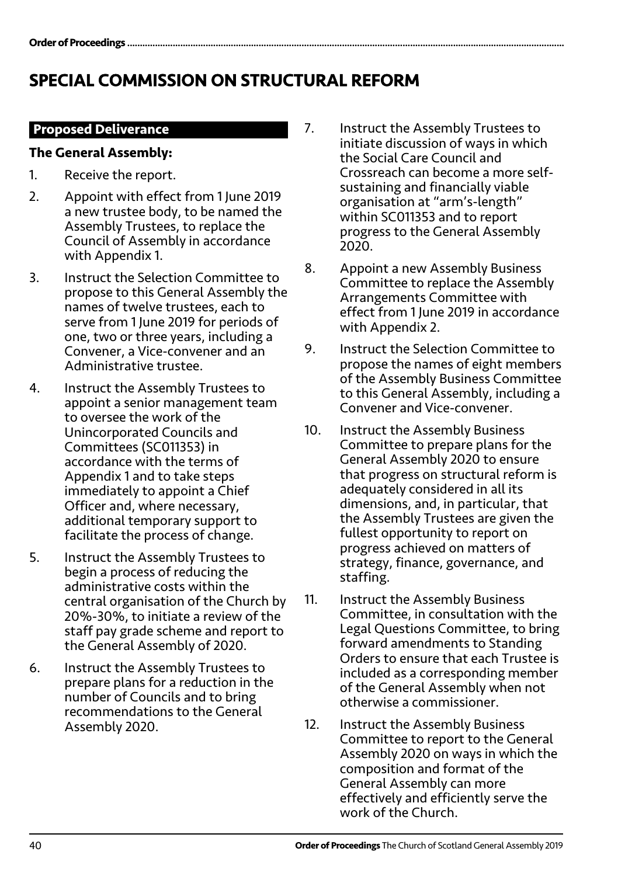# SPECIAL COMMISSION ON STRUCTURAL REFORM

## **Proposed Deliverance**

### **The General Assembly:**

- 1. Receive the report.
- 2. Appoint with effect from 1 June 2019 a new trustee body, to be named the Assembly Trustees, to replace the Council of Assembly in accordance with Appendix 1.
- 3. Instruct the Selection Committee to propose to this General Assembly the names of twelve trustees, each to serve from 1 June 2019 for periods of one, two or three years, including a Convener, a Vice-convener and an Administrative trustee.
- 4. Instruct the Assembly Trustees to appoint a senior management team to oversee the work of the Unincorporated Councils and Committees (SC011353) in accordance with the terms of Appendix 1 and to take steps immediately to appoint a Chief Officer and, where necessary, additional temporary support to facilitate the process of change.
- 5. Instruct the Assembly Trustees to begin a process of reducing the administrative costs within the central organisation of the Church by 20%-30%, to initiate a review of the staff pay grade scheme and report to the General Assembly of 2020.
- 6. Instruct the Assembly Trustees to prepare plans for a reduction in the number of Councils and to bring recommendations to the General Assembly 2020.
- 7. Instruct the Assembly Trustees to initiate discussion of ways in which the Social Care Council and Crossreach can become a more selfsustaining and financially viable organisation at "arm's-length" within SC011353 and to report progress to the General Assembly 2020.
- 8. Appoint a new Assembly Business Committee to replace the Assembly Arrangements Committee with effect from 1 June 2019 in accordance with Appendix 2.
- 9. Instruct the Selection Committee to propose the names of eight members of the Assembly Business Committee to this General Assembly, including a Convener and Vice-convener.
- 10. Instruct the Assembly Business Committee to prepare plans for the General Assembly 2020 to ensure that progress on structural reform is adequately considered in all its dimensions, and, in particular, that the Assembly Trustees are given the fullest opportunity to report on progress achieved on matters of strategy, finance, governance, and staffing.
- 11. Instruct the Assembly Business Committee, in consultation with the Legal Questions Committee, to bring forward amendments to Standing Orders to ensure that each Trustee is included as a corresponding member of the General Assembly when not otherwise a commissioner.
- 12. Instruct the Assembly Business Committee to report to the General Assembly 2020 on ways in which the composition and format of the General Assembly can more effectively and efficiently serve the work of the Church.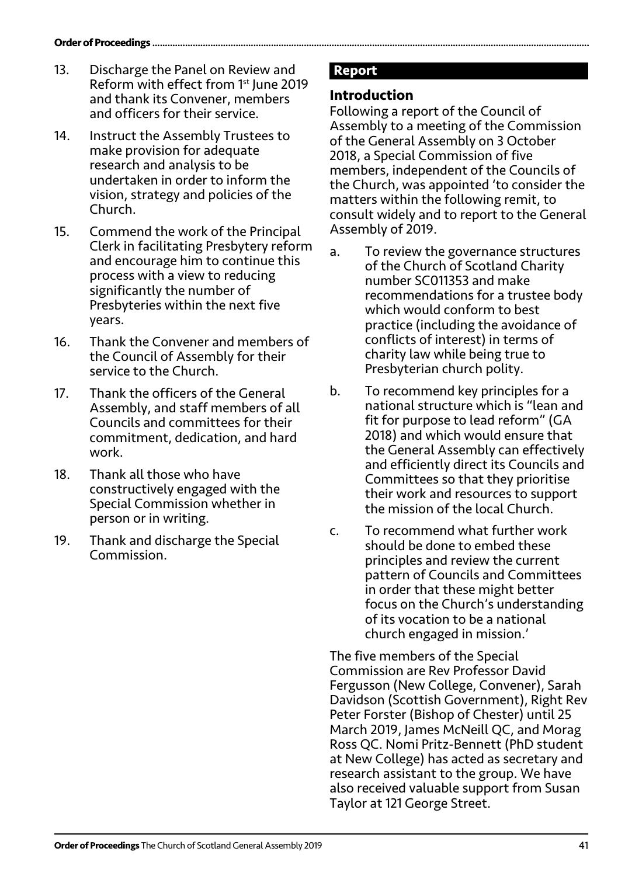- 13. Discharge the Panel on Review and Reform with effect from 1st June 2019 and thank its Convener, members and officers for their service.
- 14. Instruct the Assembly Trustees to make provision for adequate research and analysis to be undertaken in order to inform the vision, strategy and policies of the Church.
- 15. Commend the work of the Principal Clerk in facilitating Presbytery reform and encourage him to continue this process with a view to reducing significantly the number of Presbyteries within the next five years.
- 16. Thank the Convener and members of the Council of Assembly for their service to the Church.
- 17. Thank the officers of the General Assembly, and staff members of all Councils and committees for their commitment, dedication, and hard work.
- 18. Thank all those who have constructively engaged with the Special Commission whether in person or in writing.
- 19. Thank and discharge the Special Commission.

## **Report**

## **Introduction**

Following a report of the Council of Assembly to a meeting of the Commission of the General Assembly on 3 October 2018, a Special Commission of five members, independent of the Councils of the Church, was appointed 'to consider the matters within the following remit, to consult widely and to report to the General Assembly of 2019.

- a. To review the governance structures of the Church of Scotland Charity number SC011353 and make recommendations for a trustee body which would conform to best practice (including the avoidance of conflicts of interest) in terms of charity law while being true to Presbyterian church polity.
- b. To recommend key principles for a national structure which is "lean and fit for purpose to lead reform" (GA 2018) and which would ensure that the General Assembly can effectively and efficiently direct its Councils and Committees so that they prioritise their work and resources to support the mission of the local Church.
- c. To recommend what further work should be done to embed these principles and review the current pattern of Councils and Committees in order that these might better focus on the Church's understanding of its vocation to be a national church engaged in mission.'

The five members of the Special Commission are Rev Professor David Fergusson (New College, Convener), Sarah Davidson (Scottish Government), Right Rev Peter Forster (Bishop of Chester) until 25 March 2019, James McNeill QC, and Morag Ross QC. Nomi Pritz-Bennett (PhD student at New College) has acted as secretary and research assistant to the group. We have also received valuable support from Susan Taylor at 121 George Street.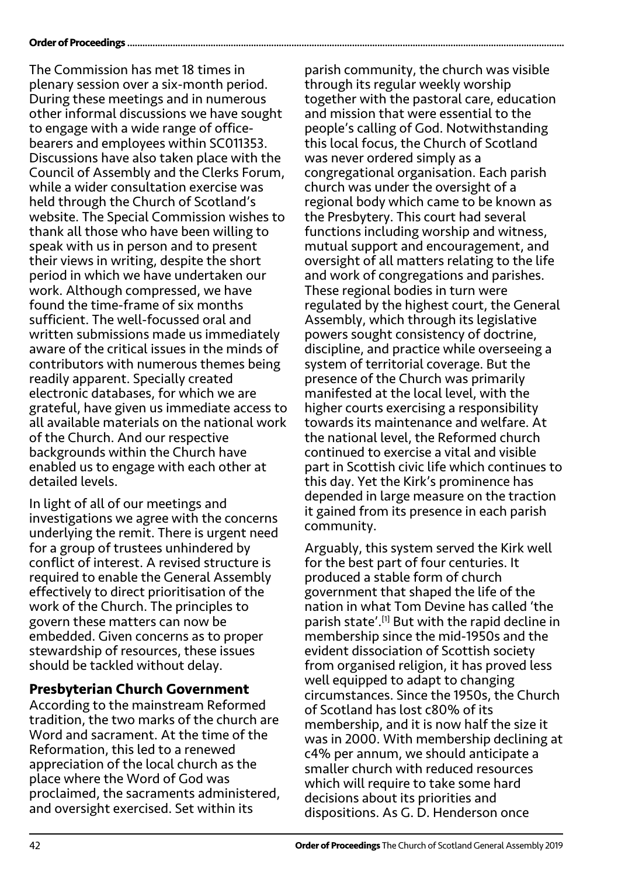#### Order of Proceedings .................

The Commission has met 18 times in plenary session over a six-month period. During these meetings and in numerous other informal discussions we have sought to engage with a wide range of officebearers and employees within SC011353. Discussions have also taken place with the Council of Assembly and the Clerks Forum, while a wider consultation exercise was held through the Church of Scotland's website. The Special Commission wishes to thank all those who have been willing to speak with us in person and to present their views in writing, despite the short period in which we have undertaken our work. Although compressed, we have found the time-frame of six months sufficient. The well-focussed oral and written submissions made us immediately aware of the critical issues in the minds of contributors with numerous themes being readily apparent. Specially created electronic databases, for which we are grateful, have given us immediate access to all available materials on the national work of the Church. And our respective backgrounds within the Church have enabled us to engage with each other at detailed levels.

In light of all of our meetings and investigations we agree with the concerns underlying the remit. There is urgent need for a group of trustees unhindered by conflict of interest. A revised structure is required to enable the General Assembly effectively to direct prioritisation of the work of the Church. The principles to govern these matters can now be embedded. Given concerns as to proper stewardship of resources, these issues should be tackled without delay.

### **Presbyterian Church Government**

According to the mainstream Reformed tradition, the two marks of the church are Word and sacrament. At the time of the Reformation, this led to a renewed appreciation of the local church as the place where the Word of God was proclaimed, the sacraments administered, and oversight exercised. Set within its

parish community, the church was visible through its regular weekly worship together with the pastoral care, education and mission that were essential to the people's calling of God. Notwithstanding this local focus, the Church of Scotland was never ordered simply as a congregational organisation. Each parish church was under the oversight of a regional body which came to be known as the Presbytery. This court had several functions including worship and witness, mutual support and encouragement, and oversight of all matters relating to the life and work of congregations and parishes. These regional bodies in turn were regulated by the highest court, the General Assembly, which through its legislative powers sought consistency of doctrine, discipline, and practice while overseeing a system of territorial coverage. But the presence of the Church was primarily manifested at the local level, with the higher courts exercising a responsibility towards its maintenance and welfare. At the national level, the Reformed church continued to exercise a vital and visible part in Scottish civic life which continues to this day. Yet the Kirk's prominence has depended in large measure on the traction it gained from its presence in each parish community.

Arguably, this system served the Kirk well for the best part of four centuries. It produced a stable form of church government that shaped the life of the nation in what Tom Devine has called 'the parish state'.[1] But with the rapid decline in membership since the mid-1950s and the evident dissociation of Scottish society from organised religion, it has proved less well equipped to adapt to changing circumstances. Since the 1950s, the Church of Scotland has lost c80% of its membership, and it is now half the size it was in 2000. With membership declining at c4% per annum, we should anticipate a smaller church with reduced resources which will require to take some hard decisions about its priorities and dispositions. As G. D. Henderson once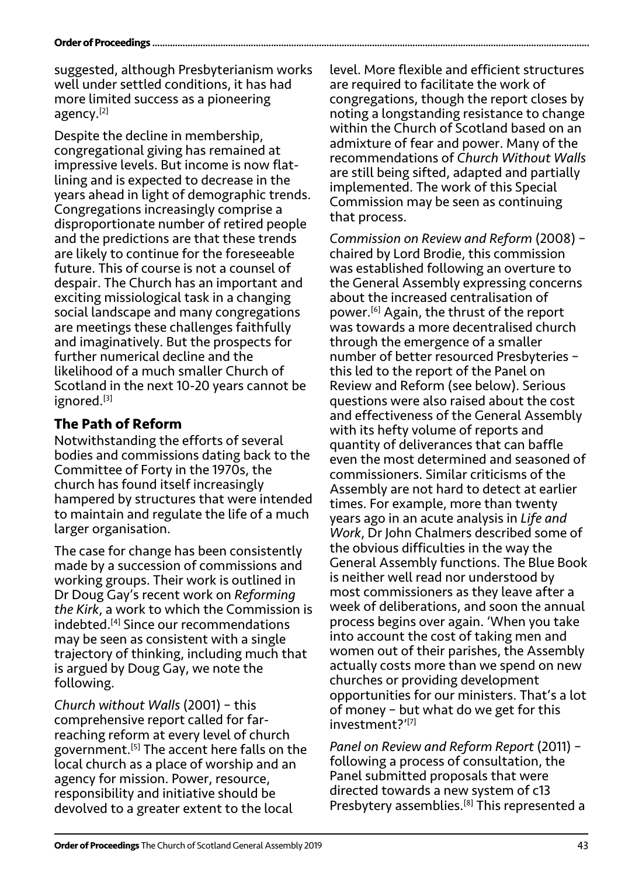#### **Order of Proceedings.**

suggested, although Presbyterianism works well under settled conditions, it has had more limited success as a pioneering agency.[2]

Despite the decline in membership, congregational giving has remained at impressive levels. But income is now flatlining and is expected to decrease in the years ahead in light of demographic trends. Congregations increasingly comprise a disproportionate number of retired people and the predictions are that these trends are likely to continue for the foreseeable future. This of course is not a counsel of despair. The Church has an important and exciting missiological task in a changing social landscape and many congregations are meetings these challenges faithfully and imaginatively. But the prospects for further numerical decline and the likelihood of a much smaller Church of Scotland in the next 10-20 years cannot be ignored.<sup>[3]</sup>

## **The Path of Reform**

Notwithstanding the efforts of several bodies and commissions dating back to the Committee of Forty in the 1970s, the church has found itself increasingly hampered by structures that were intended to maintain and regulate the life of a much larger organisation.

The case for change has been consistently made by a succession of commissions and working groups. Their work is outlined in Dr Doug Gay's recent work on *Reforming the Kirk*, a work to which the Commission is indebted.[4] Since our recommendations may be seen as consistent with a single trajectory of thinking, including much that is argued by Doug Gay, we note the following.

*Church without Walls* (2001) – this comprehensive report called for farreaching reform at every level of church government.[5] The accent here falls on the local church as a place of worship and an agency for mission. Power, resource, responsibility and initiative should be devolved to a greater extent to the local

level. More flexible and efficient structures are required to facilitate the work of congregations, though the report closes by noting a longstanding resistance to change within the Church of Scotland based on an admixture of fear and power. Many of the recommendations of *Church Without Walls* are still being sifted, adapted and partially implemented. The work of this Special Commission may be seen as continuing that process.

*Commission on Review and Reform* (2008) – chaired by Lord Brodie, this commission was established following an overture to the General Assembly expressing concerns about the increased centralisation of power.[6] Again, the thrust of the report was towards a more decentralised church through the emergence of a smaller number of better resourced Presbyteries – this led to the report of the Panel on Review and Reform (see below). Serious questions were also raised about the cost and effectiveness of the General Assembly with its hefty volume of reports and quantity of deliverances that can baffle even the most determined and seasoned of commissioners. Similar criticisms of the Assembly are not hard to detect at earlier times. For example, more than twenty years ago in an acute analysis in *Life and Work*, Dr John Chalmers described some of the obvious difficulties in the way the General Assembly functions. The Blue Book is neither well read nor understood by most commissioners as they leave after a week of deliberations, and soon the annual process begins over again. 'When you take into account the cost of taking men and women out of their parishes, the Assembly actually costs more than we spend on new churches or providing development opportunities for our ministers. That's a lot of money – but what do we get for this investment?'[7]

*Panel on Review and Reform Report* (2011) – following a process of consultation, the Panel submitted proposals that were directed towards a new system of c13 Presbytery assemblies.<sup>[8]</sup> This represented a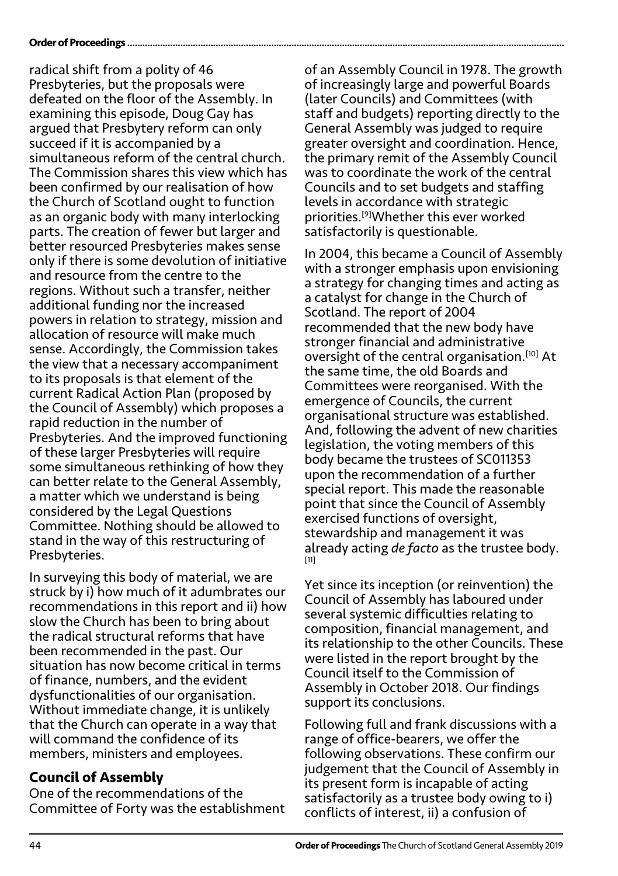#### **Order of Proceedings**.

radical shift from a polity of 46 Presbyteries, but the proposals were defeated on the floor of the Assembly. In examining this episode, Doug Gay has argued that Presbytery reform can only succeed if it is accompanied by a simultaneous reform of the central church. The Commission shares this view which has been confirmed by our realisation of how the Church of Scotland ought to function as an organic body with many interlocking parts. The creation of fewer but larger and better resourced Presbyteries makes sense only if there is some devolution of initiative and resource from the centre to the regions. Without such a transfer, neither additional funding nor the increased powers in relation to strategy, mission and allocation of resource will make much sense. Accordingly, the Commission takes the view that a necessary accompaniment to its proposals is that element of the current Radical Action Plan (proposed by the Council of Assembly) which proposes a rapid reduction in the number of Presbyteries. And the improved functioning of these larger Presbyteries will require some simultaneous rethinking of how they can better relate to the General Assembly, a matter which we understand is being considered by the Legal Questions Committee. Nothing should be allowed to stand in the way of this restructuring of Presbyteries.

In surveying this body of material, we are struck by i) how much of it adumbrates our recommendations in this report and ii) how slow the Church has been to bring about the radical structural reforms that have been recommended in the past. Our situation has now become critical in terms of finance, numbers, and the evident dysfunctionalities of our organisation. Without immediate change, it is unlikely that the Church can operate in a way that will command the confidence of its members, ministers and employees.

## **Council of Assembly**

One of the recommendations of the Committee of Forty was the establishment of an Assembly Council in 1978. The growth of increasingly large and powerful Boards (later Councils) and Committees (with staff and budgets) reporting directly to the General Assembly was judged to require greater oversight and coordination. Hence, the primary remit of the Assembly Council was to coordinate the work of the central Councils and to set budgets and staffing levels in accordance with strategic priorities.[9]Whether this ever worked satisfactorily is questionable.

In 2004, this became a Council of Assembly with a stronger emphasis upon envisioning a strategy for changing times and acting as a catalyst for change in the Church of Scotland. The report of 2004 recommended that the new body have stronger financial and administrative oversight of the central organisation.[10] At the same time, the old Boards and Committees were reorganised. With the emergence of Councils, the current organisational structure was established. And, following the advent of new charities legislation, the voting members of this body became the trustees of SC011353 upon the recommendation of a further special report. This made the reasonable point that since the Council of Assembly exercised functions of oversight, stewardship and management it was already acting *de facto* as the trustee body. [11]

Yet since its inception (or reinvention) the Council of Assembly has laboured under several systemic difficulties relating to composition, financial management, and its relationship to the other Councils. These were listed in the report brought by the Council itself to the Commission of Assembly in October 2018. Our findings support its conclusions.

Following full and frank discussions with a range of office-bearers, we offer the following observations. These confirm our judgement that the Council of Assembly in its present form is incapable of acting satisfactorily as a trustee body owing to i) conflicts of interest, ii) a confusion of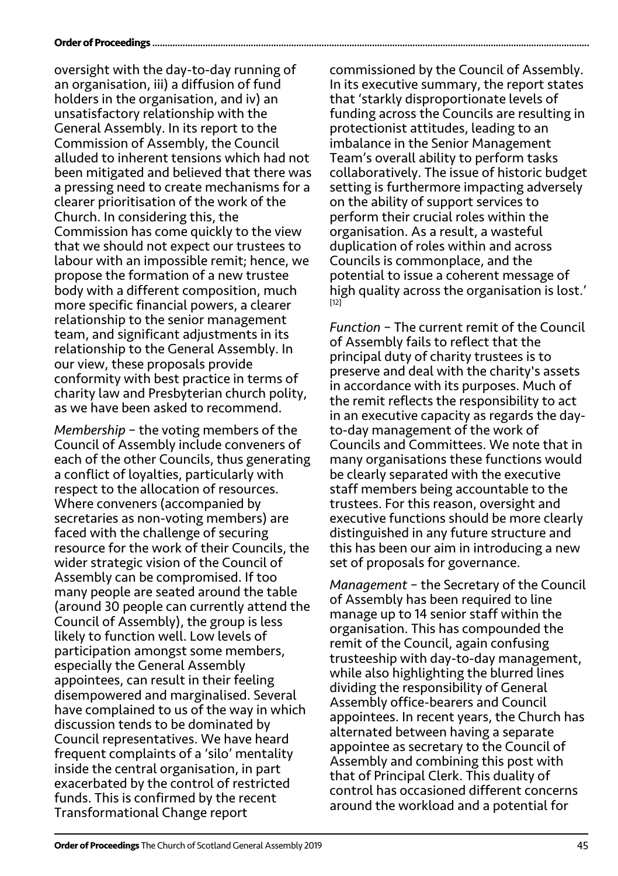#### **Order of Proceedings**

oversight with the day-to-day running of an organisation, iii) a diffusion of fund holders in the organisation, and iv) an unsatisfactory relationship with the General Assembly. In its report to the Commission of Assembly, the Council alluded to inherent tensions which had not been mitigated and believed that there was a pressing need to create mechanisms for a clearer prioritisation of the work of the Church. In considering this, the Commission has come quickly to the view that we should not expect our trustees to labour with an impossible remit; hence, we propose the formation of a new trustee body with a different composition, much more specific financial powers, a clearer relationship to the senior management team, and significant adjustments in its relationship to the General Assembly. In our view, these proposals provide conformity with best practice in terms of charity law and Presbyterian church polity, as we have been asked to recommend.

*Membership* – the voting members of the Council of Assembly include conveners of each of the other Councils, thus generating a conflict of loyalties, particularly with respect to the allocation of resources. Where conveners (accompanied by secretaries as non-voting members) are faced with the challenge of securing resource for the work of their Councils, the wider strategic vision of the Council of Assembly can be compromised. If too many people are seated around the table (around 30 people can currently attend the Council of Assembly), the group is less likely to function well. Low levels of participation amongst some members, especially the General Assembly appointees, can result in their feeling disempowered and marginalised. Several have complained to us of the way in which discussion tends to be dominated by Council representatives. We have heard frequent complaints of a 'silo' mentality inside the central organisation, in part exacerbated by the control of restricted funds. This is confirmed by the recent Transformational Change report

commissioned by the Council of Assembly. In its executive summary, the report states that 'starkly disproportionate levels of funding across the Councils are resulting in protectionist attitudes, leading to an imbalance in the Senior Management Team's overall ability to perform tasks collaboratively. The issue of historic budget setting is furthermore impacting adversely on the ability of support services to perform their crucial roles within the organisation. As a result, a wasteful duplication of roles within and across Councils is commonplace, and the potential to issue a coherent message of high quality across the organisation is lost.' [12]

*Function* – The current remit of the Council of Assembly fails to reflect that the principal duty of charity trustees is to preserve and deal with the charity's assets in accordance with its purposes. Much of the remit reflects the responsibility to act in an executive capacity as regards the dayto-day management of the work of Councils and Committees. We note that in many organisations these functions would be clearly separated with the executive staff members being accountable to the trustees. For this reason, oversight and executive functions should be more clearly distinguished in any future structure and this has been our aim in introducing a new set of proposals for governance.

*Management* – the Secretary of the Council of Assembly has been required to line manage up to 14 senior staff within the organisation. This has compounded the remit of the Council, again confusing trusteeship with day-to-day management, while also highlighting the blurred lines dividing the responsibility of General Assembly office-bearers and Council appointees. In recent years, the Church has alternated between having a separate appointee as secretary to the Council of Assembly and combining this post with that of Principal Clerk. This duality of control has occasioned different concerns around the workload and a potential for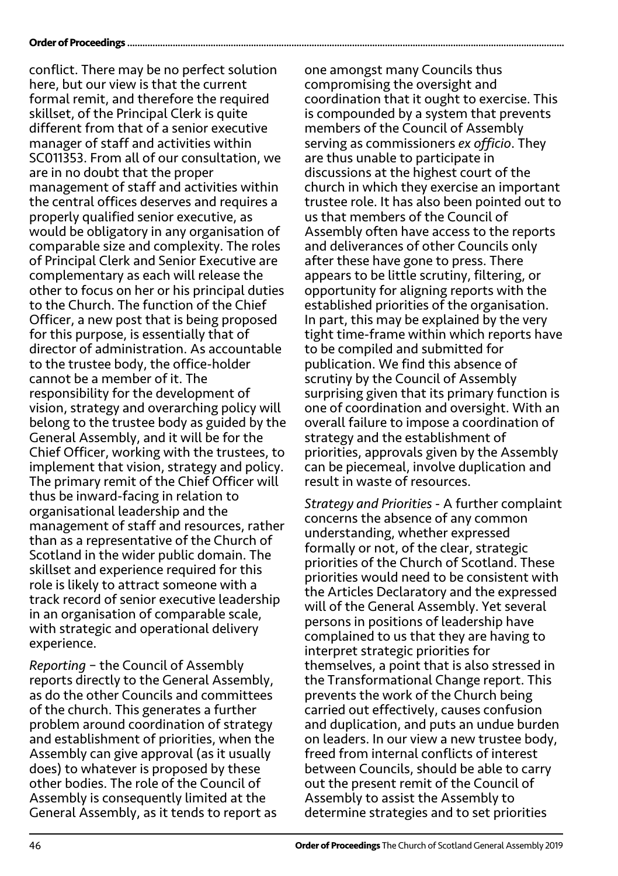#### **Order of Proceedings ...........**

conflict. There may be no perfect solution here, but our view is that the current formal remit, and therefore the required skillset, of the Principal Clerk is quite different from that of a senior executive manager of staff and activities within SC011353. From all of our consultation, we are in no doubt that the proper management of staff and activities within the central offices deserves and requires a properly qualified senior executive, as would be obligatory in any organisation of comparable size and complexity. The roles of Principal Clerk and Senior Executive are complementary as each will release the other to focus on her or his principal duties to the Church. The function of the Chief Officer, a new post that is being proposed for this purpose, is essentially that of director of administration. As accountable to the trustee body, the office-holder cannot be a member of it. The responsibility for the development of vision, strategy and overarching policy will belong to the trustee body as guided by the General Assembly, and it will be for the Chief Officer, working with the trustees, to implement that vision, strategy and policy. The primary remit of the Chief Officer will thus be inward-facing in relation to organisational leadership and the management of staff and resources, rather than as a representative of the Church of Scotland in the wider public domain. The skillset and experience required for this role is likely to attract someone with a track record of senior executive leadership in an organisation of comparable scale, with strategic and operational delivery experience.

*Reporting* – the Council of Assembly reports directly to the General Assembly, as do the other Councils and committees of the church. This generates a further problem around coordination of strategy and establishment of priorities, when the Assembly can give approval (as it usually does) to whatever is proposed by these other bodies. The role of the Council of Assembly is consequently limited at the General Assembly, as it tends to report as one amongst many Councils thus compromising the oversight and coordination that it ought to exercise. This is compounded by a system that prevents members of the Council of Assembly serving as commissioners *ex officio*. They are thus unable to participate in discussions at the highest court of the church in which they exercise an important trustee role. It has also been pointed out to us that members of the Council of Assembly often have access to the reports and deliverances of other Councils only after these have gone to press. There appears to be little scrutiny, filtering, or opportunity for aligning reports with the established priorities of the organisation. In part, this may be explained by the very tight time-frame within which reports have to be compiled and submitted for publication. We find this absence of scrutiny by the Council of Assembly surprising given that its primary function is one of coordination and oversight. With an overall failure to impose a coordination of strategy and the establishment of priorities, approvals given by the Assembly can be piecemeal, involve duplication and result in waste of resources.

*Strategy and Priorities* - A further complaint concerns the absence of any common understanding, whether expressed formally or not, of the clear, strategic priorities of the Church of Scotland. These priorities would need to be consistent with the Articles Declaratory and the expressed will of the General Assembly. Yet several persons in positions of leadership have complained to us that they are having to interpret strategic priorities for themselves, a point that is also stressed in the Transformational Change report. This prevents the work of the Church being carried out effectively, causes confusion and duplication, and puts an undue burden on leaders. In our view a new trustee body, freed from internal conflicts of interest between Councils, should be able to carry out the present remit of the Council of Assembly to assist the Assembly to determine strategies and to set priorities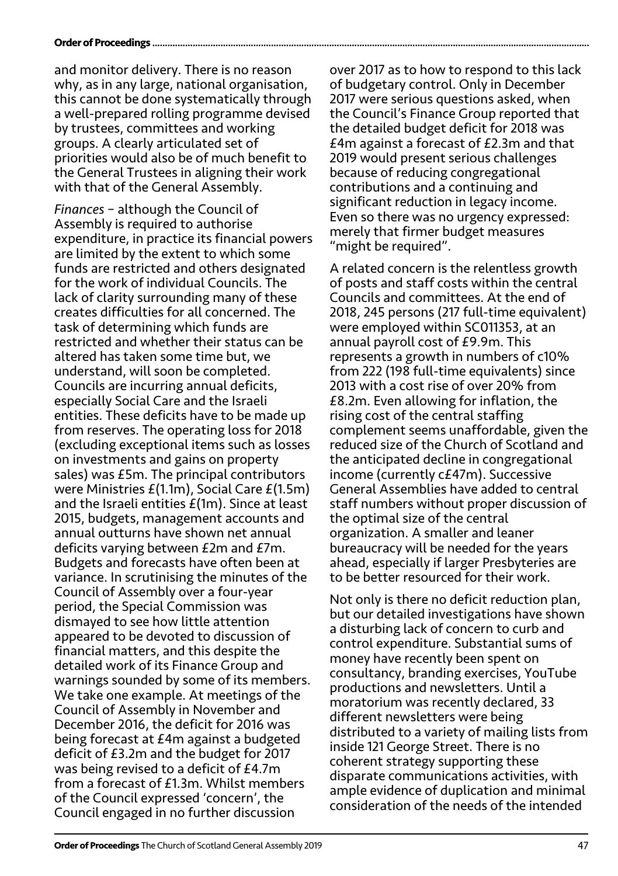#### **Order of Proceedings..**

and monitor delivery. There is no reason why, as in any large, national organisation, this cannot be done systematically through a well-prepared rolling programme devised by trustees, committees and working groups. A clearly articulated set of priorities would also be of much benefit to the General Trustees in aligning their work with that of the General Assembly.

*Finances* – although the Council of Assembly is required to authorise expenditure, in practice its financial powers are limited by the extent to which some funds are restricted and others designated for the work of individual Councils. The lack of clarity surrounding many of these creates difficulties for all concerned. The task of determining which funds are restricted and whether their status can be altered has taken some time but, we understand, will soon be completed. Councils are incurring annual deficits, especially Social Care and the Israeli entities. These deficits have to be made up from reserves. The operating loss for 2018 (excluding exceptional items such as losses on investments and gains on property sales) was £5m. The principal contributors were Ministries £(1.1m), Social Care £(1.5m) and the Israeli entities £(1m). Since at least 2015, budgets, management accounts and annual outturns have shown net annual deficits varying between £2m and £7m. Budgets and forecasts have often been at variance. In scrutinising the minutes of the Council of Assembly over a four-year period, the Special Commission was dismayed to see how little attention appeared to be devoted to discussion of financial matters, and this despite the detailed work of its Finance Group and warnings sounded by some of its members. We take one example. At meetings of the Council of Assembly in November and December 2016, the deficit for 2016 was being forecast at £4m against a budgeted deficit of £3.2m and the budget for 2017 was being revised to a deficit of £4.7m from a forecast of £1.3m. Whilst members of the Council expressed 'concern', the Council engaged in no further discussion

over 2017 as to how to respond to this lack of budgetary control. Only in December 2017 were serious questions asked, when the Council's Finance Group reported that the detailed budget deficit for 2018 was £4m against a forecast of £2.3m and that 2019 would present serious challenges because of reducing congregational contributions and a continuing and significant reduction in legacy income. Even so there was no urgency expressed: merely that firmer budget measures "might be required".

A related concern is the relentless growth of posts and staff costs within the central Councils and committees. At the end of 2018, 245 persons (217 full-time equivalent) were employed within SC011353, at an annual payroll cost of £9.9m. This represents a growth in numbers of c10% from 222 (198 full-time equivalents) since 2013 with a cost rise of over 20% from £8.2m. Even allowing for inflation, the rising cost of the central staffing complement seems unaffordable, given the reduced size of the Church of Scotland and the anticipated decline in congregational income (currently c£47m). Successive General Assemblies have added to central staff numbers without proper discussion of the optimal size of the central organization. A smaller and leaner bureaucracy will be needed for the years ahead, especially if larger Presbyteries are to be better resourced for their work.

Not only is there no deficit reduction plan, but our detailed investigations have shown a disturbing lack of concern to curb and control expenditure. Substantial sums of money have recently been spent on consultancy, branding exercises, YouTube productions and newsletters. Until a moratorium was recently declared, 33 different newsletters were being distributed to a variety of mailing lists from inside 121 George Street. There is no coherent strategy supporting these disparate communications activities, with ample evidence of duplication and minimal consideration of the needs of the intended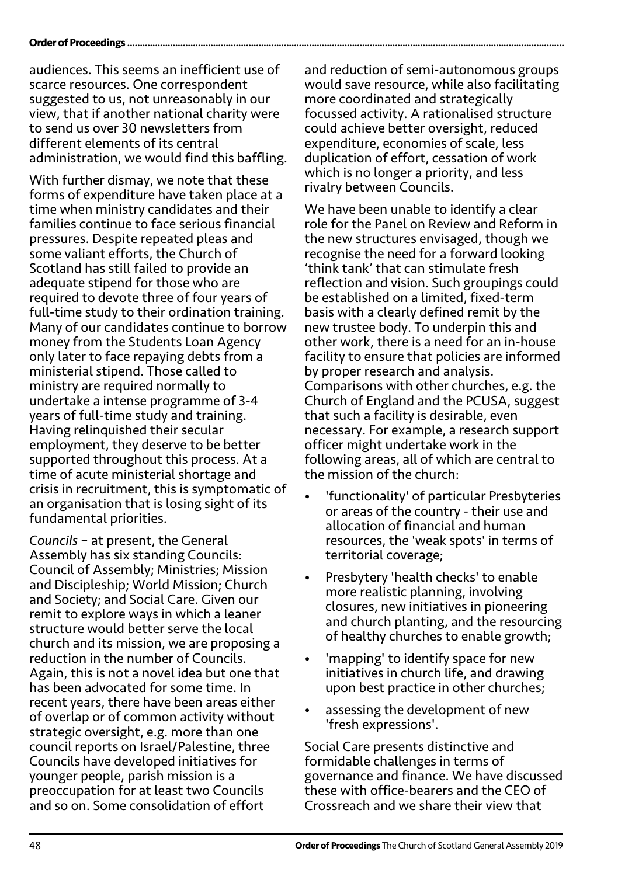#### Order of Proceedings ....................

audiences. This seems an inefficient use of scarce resources. One correspondent suggested to us, not unreasonably in our view, that if another national charity were to send us over 30 newsletters from different elements of its central administration, we would find this baffling.

With further dismay, we note that these forms of expenditure have taken place at a time when ministry candidates and their families continue to face serious financial pressures. Despite repeated pleas and some valiant efforts, the Church of Scotland has still failed to provide an adequate stipend for those who are required to devote three of four years of full-time study to their ordination training. Many of our candidates continue to borrow money from the Students Loan Agency only later to face repaying debts from a ministerial stipend. Those called to ministry are required normally to undertake a intense programme of 3-4 years of full-time study and training. Having relinquished their secular employment, they deserve to be better supported throughout this process. At a time of acute ministerial shortage and crisis in recruitment, this is symptomatic of an organisation that is losing sight of its fundamental priorities.

*Councils* – at present, the General Assembly has six standing Councils: Council of Assembly; Ministries; Mission and Discipleship; World Mission; Church and Society; and Social Care. Given our remit to explore ways in which a leaner structure would better serve the local church and its mission, we are proposing a reduction in the number of Councils. Again, this is not a novel idea but one that has been advocated for some time. In recent years, there have been areas either of overlap or of common activity without strategic oversight, e.g. more than one council reports on Israel/Palestine, three Councils have developed initiatives for younger people, parish mission is a preoccupation for at least two Councils and so on. Some consolidation of effort

and reduction of semi-autonomous groups would save resource, while also facilitating more coordinated and strategically focussed activity. A rationalised structure could achieve better oversight, reduced expenditure, economies of scale, less duplication of effort, cessation of work which is no longer a priority, and less rivalry between Councils.

We have been unable to identify a clear role for the Panel on Review and Reform in the new structures envisaged, though we recognise the need for a forward looking 'think tank' that can stimulate fresh reflection and vision. Such groupings could be established on a limited, fixed-term basis with a clearly defined remit by the new trustee body. To underpin this and other work, there is a need for an in-house facility to ensure that policies are informed by proper research and analysis. Comparisons with other churches, e.g. the Church of England and the PCUSA, suggest that such a facility is desirable, even necessary. For example, a research support officer might undertake work in the following areas, all of which are central to the mission of the church:

- 'functionality' of particular Presbyteries or areas of the country - their use and allocation of financial and human resources, the 'weak spots' in terms of territorial coverage;
- Presbytery 'health checks' to enable more realistic planning, involving closures, new initiatives in pioneering and church planting, and the resourcing of healthy churches to enable growth;
- 'mapping' to identify space for new initiatives in church life, and drawing upon best practice in other churches;
- assessing the development of new 'fresh expressions'.

Social Care presents distinctive and formidable challenges in terms of governance and finance. We have discussed these with office-bearers and the CEO of Crossreach and we share their view that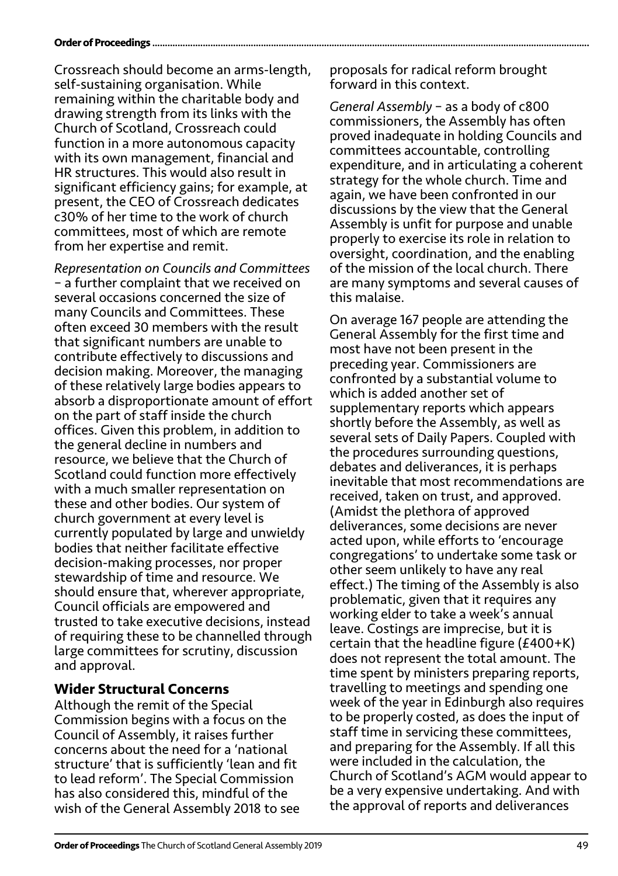#### **Order of Proceedings.**

Crossreach should become an arms-length, self-sustaining organisation. While remaining within the charitable body and drawing strength from its links with the Church of Scotland, Crossreach could function in a more autonomous capacity with its own management, financial and HR structures. This would also result in significant efficiency gains; for example, at present, the CEO of Crossreach dedicates c30% of her time to the work of church committees, most of which are remote from her expertise and remit.

*Representation on Councils and Committees* – a further complaint that we received on several occasions concerned the size of many Councils and Committees. These often exceed 30 members with the result that significant numbers are unable to contribute effectively to discussions and decision making. Moreover, the managing of these relatively large bodies appears to absorb a disproportionate amount of effort on the part of staff inside the church offices. Given this problem, in addition to the general decline in numbers and resource, we believe that the Church of Scotland could function more effectively with a much smaller representation on these and other bodies. Our system of church government at every level is currently populated by large and unwieldy bodies that neither facilitate effective decision-making processes, nor proper stewardship of time and resource. We should ensure that, wherever appropriate, Council officials are empowered and trusted to take executive decisions, instead of requiring these to be channelled through large committees for scrutiny, discussion and approval.

### **Wider Structural Concerns**

Although the remit of the Special Commission begins with a focus on the Council of Assembly, it raises further concerns about the need for a 'national structure' that is sufficiently 'lean and fit to lead reform'. The Special Commission has also considered this, mindful of the wish of the General Assembly 2018 to see proposals for radical reform brought forward in this context.

*General Assembly* – as a body of c800 commissioners, the Assembly has often proved inadequate in holding Councils and committees accountable, controlling expenditure, and in articulating a coherent strategy for the whole church. Time and again, we have been confronted in our discussions by the view that the General Assembly is unfit for purpose and unable properly to exercise its role in relation to oversight, coordination, and the enabling of the mission of the local church. There are many symptoms and several causes of this malaise.

On average 167 people are attending the General Assembly for the first time and most have not been present in the preceding year. Commissioners are confronted by a substantial volume to which is added another set of supplementary reports which appears shortly before the Assembly, as well as several sets of Daily Papers. Coupled with the procedures surrounding questions, debates and deliverances, it is perhaps inevitable that most recommendations are received, taken on trust, and approved. (Amidst the plethora of approved deliverances, some decisions are never acted upon, while efforts to 'encourage congregations' to undertake some task or other seem unlikely to have any real effect.) The timing of the Assembly is also problematic, given that it requires any working elder to take a week's annual leave. Costings are imprecise, but it is certain that the headline figure (£400+K) does not represent the total amount. The time spent by ministers preparing reports, travelling to meetings and spending one week of the year in Edinburgh also requires to be properly costed, as does the input of staff time in servicing these committees, and preparing for the Assembly. If all this were included in the calculation, the Church of Scotland's AGM would appear to be a very expensive undertaking. And with the approval of reports and deliverances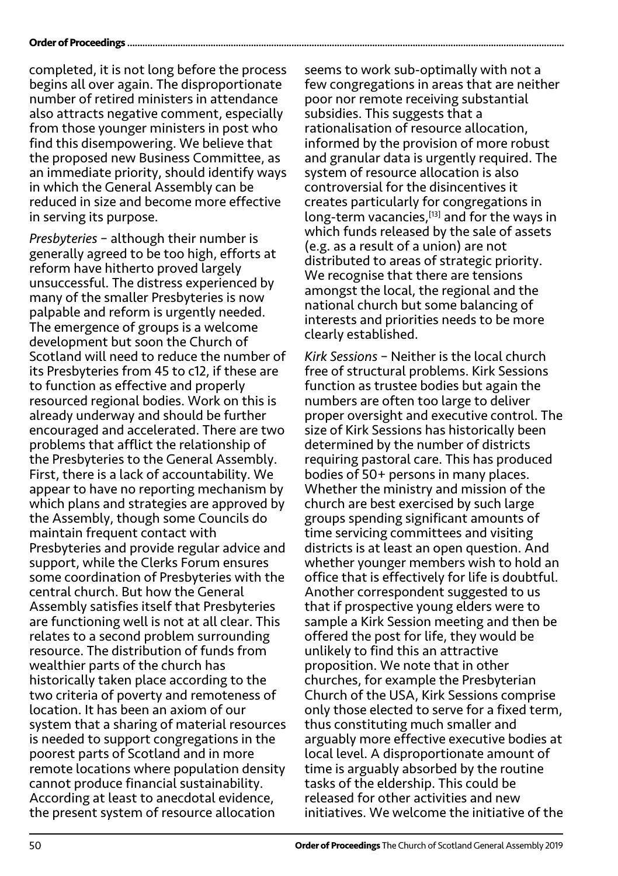#### Order of Proceedings ..............

completed, it is not long before the process begins all over again. The disproportionate number of retired ministers in attendance also attracts negative comment, especially from those younger ministers in post who find this disempowering. We believe that the proposed new Business Committee, as an immediate priority, should identify ways in which the General Assembly can be reduced in size and become more effective in serving its purpose.

*Presbyteries* – although their number is generally agreed to be too high, efforts at reform have hitherto proved largely unsuccessful. The distress experienced by many of the smaller Presbyteries is now palpable and reform is urgently needed. The emergence of groups is a welcome development but soon the Church of Scotland will need to reduce the number of its Presbyteries from 45 to c12, if these are to function as effective and properly resourced regional bodies. Work on this is already underway and should be further encouraged and accelerated. There are two problems that afflict the relationship of the Presbyteries to the General Assembly. First, there is a lack of accountability. We appear to have no reporting mechanism by which plans and strategies are approved by the Assembly, though some Councils do maintain frequent contact with Presbyteries and provide regular advice and support, while the Clerks Forum ensures some coordination of Presbyteries with the central church. But how the General Assembly satisfies itself that Presbyteries are functioning well is not at all clear. This relates to a second problem surrounding resource. The distribution of funds from wealthier parts of the church has historically taken place according to the two criteria of poverty and remoteness of location. It has been an axiom of our system that a sharing of material resources is needed to support congregations in the poorest parts of Scotland and in more remote locations where population density cannot produce financial sustainability. According at least to anecdotal evidence, the present system of resource allocation

seems to work sub-optimally with not a few congregations in areas that are neither poor nor remote receiving substantial subsidies. This suggests that a rationalisation of resource allocation, informed by the provision of more robust and granular data is urgently required. The system of resource allocation is also controversial for the disincentives it creates particularly for congregations in long-term vacancies, [13] and for the ways in which funds released by the sale of assets (e.g. as a result of a union) are not distributed to areas of strategic priority. We recognise that there are tensions amongst the local, the regional and the national church but some balancing of interests and priorities needs to be more clearly established.

*Kirk Sessions* – Neither is the local church free of structural problems. Kirk Sessions function as trustee bodies but again the numbers are often too large to deliver proper oversight and executive control. The size of Kirk Sessions has historically been determined by the number of districts requiring pastoral care. This has produced bodies of 50+ persons in many places. Whether the ministry and mission of the church are best exercised by such large groups spending significant amounts of time servicing committees and visiting districts is at least an open question. And whether younger members wish to hold an office that is effectively for life is doubtful. Another correspondent suggested to us that if prospective young elders were to sample a Kirk Session meeting and then be offered the post for life, they would be unlikely to find this an attractive proposition. We note that in other churches, for example the Presbyterian Church of the USA, Kirk Sessions comprise only those elected to serve for a fixed term, thus constituting much smaller and arguably more effective executive bodies at local level. A disproportionate amount of time is arguably absorbed by the routine tasks of the eldership. This could be released for other activities and new initiatives. We welcome the initiative of the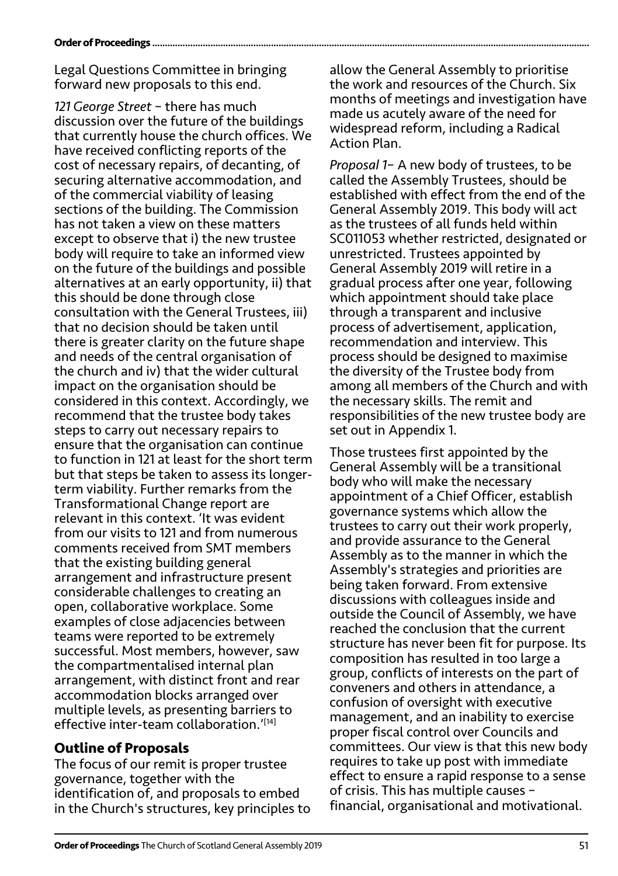#### **Order of Proceedings.**

Legal Questions Committee in bringing forward new proposals to this end.

*121 George Street* – there has much discussion over the future of the buildings that currently house the church offices. We have received conflicting reports of the cost of necessary repairs, of decanting, of securing alternative accommodation, and of the commercial viability of leasing sections of the building. The Commission has not taken a view on these matters except to observe that i) the new trustee body will require to take an informed view on the future of the buildings and possible alternatives at an early opportunity, ii) that this should be done through close consultation with the General Trustees, iii) that no decision should be taken until there is greater clarity on the future shape and needs of the central organisation of the church and iv) that the wider cultural impact on the organisation should be considered in this context. Accordingly, we recommend that the trustee body takes steps to carry out necessary repairs to ensure that the organisation can continue to function in 121 at least for the short term but that steps be taken to assess its longerterm viability. Further remarks from the Transformational Change report are relevant in this context. 'It was evident from our visits to 121 and from numerous comments received from SMT members that the existing building general arrangement and infrastructure present considerable challenges to creating an open, collaborative workplace. Some examples of close adjacencies between teams were reported to be extremely successful. Most members, however, saw the compartmentalised internal plan arrangement, with distinct front and rear accommodation blocks arranged over multiple levels, as presenting barriers to effective inter-team collaboration.<sup>'[14]</sup>

## **Outline of Proposals**

The focus of our remit is proper trustee governance, together with the identification of, and proposals to embed in the Church's structures, key principles to allow the General Assembly to prioritise the work and resources of the Church. Six months of meetings and investigation have made us acutely aware of the need for widespread reform, including a Radical Action Plan.

*Proposal 1*– A new body of trustees, to be called the Assembly Trustees, should be established with effect from the end of the General Assembly 2019. This body will act as the trustees of all funds held within SC011053 whether restricted, designated or unrestricted. Trustees appointed by General Assembly 2019 will retire in a gradual process after one year, following which appointment should take place through a transparent and inclusive process of advertisement, application, recommendation and interview. This process should be designed to maximise the diversity of the Trustee body from among all members of the Church and with the necessary skills. The remit and responsibilities of the new trustee body are set out in Appendix 1.

Those trustees first appointed by the General Assembly will be a transitional body who will make the necessary appointment of a Chief Officer, establish governance systems which allow the trustees to carry out their work properly, and provide assurance to the General Assembly as to the manner in which the Assembly's strategies and priorities are being taken forward. From extensive discussions with colleagues inside and outside the Council of Assembly, we have reached the conclusion that the current structure has never been fit for purpose. Its composition has resulted in too large a group, conflicts of interests on the part of conveners and others in attendance, a confusion of oversight with executive management, and an inability to exercise proper fiscal control over Councils and committees. Our view is that this new body requires to take up post with immediate effect to ensure a rapid response to a sense of crisis. This has multiple causes – financial, organisational and motivational.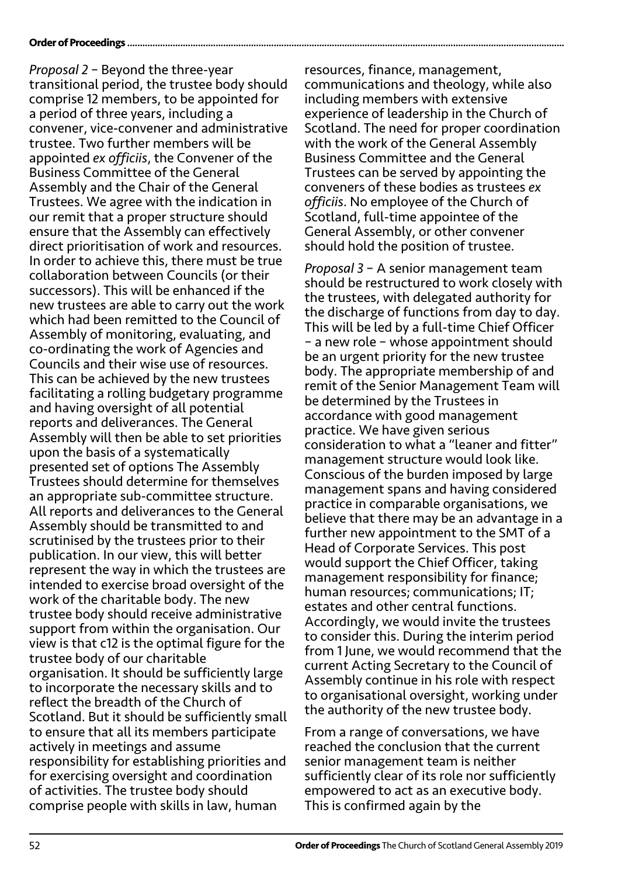#### **Order of Proceedings ...........**

*Proposal 2* – Beyond the three-year transitional period, the trustee body should comprise 12 members, to be appointed for a period of three years, including a convener, vice-convener and administrative trustee. Two further members will be appointed *ex officiis*, the Convener of the Business Committee of the General Assembly and the Chair of the General Trustees. We agree with the indication in our remit that a proper structure should ensure that the Assembly can effectively direct prioritisation of work and resources. In order to achieve this, there must be true collaboration between Councils (or their successors). This will be enhanced if the new trustees are able to carry out the work which had been remitted to the Council of Assembly of monitoring, evaluating, and co-ordinating the work of Agencies and Councils and their wise use of resources. This can be achieved by the new trustees facilitating a rolling budgetary programme and having oversight of all potential reports and deliverances. The General Assembly will then be able to set priorities upon the basis of a systematically presented set of options The Assembly Trustees should determine for themselves an appropriate sub-committee structure. All reports and deliverances to the General Assembly should be transmitted to and scrutinised by the trustees prior to their publication. In our view, this will better represent the way in which the trustees are intended to exercise broad oversight of the work of the charitable body. The new trustee body should receive administrative support from within the organisation. Our view is that c12 is the optimal figure for the trustee body of our charitable organisation. It should be sufficiently large to incorporate the necessary skills and to reflect the breadth of the Church of Scotland. But it should be sufficiently small to ensure that all its members participate actively in meetings and assume responsibility for establishing priorities and for exercising oversight and coordination of activities. The trustee body should comprise people with skills in law, human

resources, finance, management, communications and theology, while also including members with extensive experience of leadership in the Church of Scotland. The need for proper coordination with the work of the General Assembly Business Committee and the General Trustees can be served by appointing the conveners of these bodies as trustees *ex officiis*. No employee of the Church of Scotland, full-time appointee of the General Assembly, or other convener should hold the position of trustee.

*Proposal 3* – A senior management team should be restructured to work closely with the trustees, with delegated authority for the discharge of functions from day to day. This will be led by a full-time Chief Officer – a new role – whose appointment should be an urgent priority for the new trustee body. The appropriate membership of and remit of the Senior Management Team will be determined by the Trustees in accordance with good management practice. We have given serious consideration to what a "leaner and fitter" management structure would look like. Conscious of the burden imposed by large management spans and having considered practice in comparable organisations, we believe that there may be an advantage in a further new appointment to the SMT of a Head of Corporate Services. This post would support the Chief Officer, taking management responsibility for finance; human resources; communications; IT; estates and other central functions. Accordingly, we would invite the trustees to consider this. During the interim period from 1 June, we would recommend that the current Acting Secretary to the Council of Assembly continue in his role with respect to organisational oversight, working under the authority of the new trustee body.

From a range of conversations, we have reached the conclusion that the current senior management team is neither sufficiently clear of its role nor sufficiently empowered to act as an executive body. This is confirmed again by the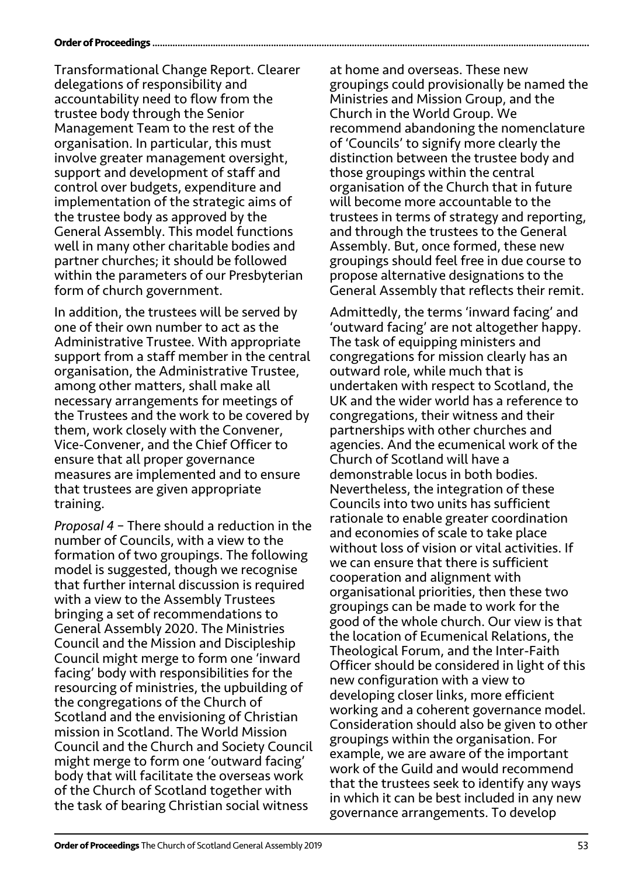#### **Order of Proceedings..**

Transformational Change Report. Clearer delegations of responsibility and accountability need to flow from the trustee body through the Senior Management Team to the rest of the organisation. In particular, this must involve greater management oversight, support and development of staff and control over budgets, expenditure and implementation of the strategic aims of the trustee body as approved by the General Assembly. This model functions well in many other charitable bodies and partner churches; it should be followed within the parameters of our Presbyterian form of church government.

In addition, the trustees will be served by one of their own number to act as the Administrative Trustee. With appropriate support from a staff member in the central organisation, the Administrative Trustee, among other matters, shall make all necessary arrangements for meetings of the Trustees and the work to be covered by them, work closely with the Convener, Vice-Convener, and the Chief Officer to ensure that all proper governance measures are implemented and to ensure that trustees are given appropriate training.

*Proposal 4* – There should a reduction in the number of Councils, with a view to the formation of two groupings. The following model is suggested, though we recognise that further internal discussion is required with a view to the Assembly Trustees bringing a set of recommendations to General Assembly 2020. The Ministries Council and the Mission and Discipleship Council might merge to form one 'inward facing' body with responsibilities for the resourcing of ministries, the upbuilding of the congregations of the Church of Scotland and the envisioning of Christian mission in Scotland. The World Mission Council and the Church and Society Council might merge to form one 'outward facing' body that will facilitate the overseas work of the Church of Scotland together with the task of bearing Christian social witness

at home and overseas. These new groupings could provisionally be named the Ministries and Mission Group, and the Church in the World Group. We recommend abandoning the nomenclature of 'Councils' to signify more clearly the distinction between the trustee body and those groupings within the central organisation of the Church that in future will become more accountable to the trustees in terms of strategy and reporting, and through the trustees to the General Assembly. But, once formed, these new groupings should feel free in due course to propose alternative designations to the General Assembly that reflects their remit.

Admittedly, the terms 'inward facing' and 'outward facing' are not altogether happy. The task of equipping ministers and congregations for mission clearly has an outward role, while much that is undertaken with respect to Scotland, the UK and the wider world has a reference to congregations, their witness and their partnerships with other churches and agencies. And the ecumenical work of the Church of Scotland will have a demonstrable locus in both bodies. Nevertheless, the integration of these Councils into two units has sufficient rationale to enable greater coordination and economies of scale to take place without loss of vision or vital activities. If we can ensure that there is sufficient cooperation and alignment with organisational priorities, then these two groupings can be made to work for the good of the whole church. Our view is that the location of Ecumenical Relations, the Theological Forum, and the Inter-Faith Officer should be considered in light of this new configuration with a view to developing closer links, more efficient working and a coherent governance model. Consideration should also be given to other groupings within the organisation. For example, we are aware of the important work of the Guild and would recommend that the trustees seek to identify any ways in which it can be best included in any new governance arrangements. To develop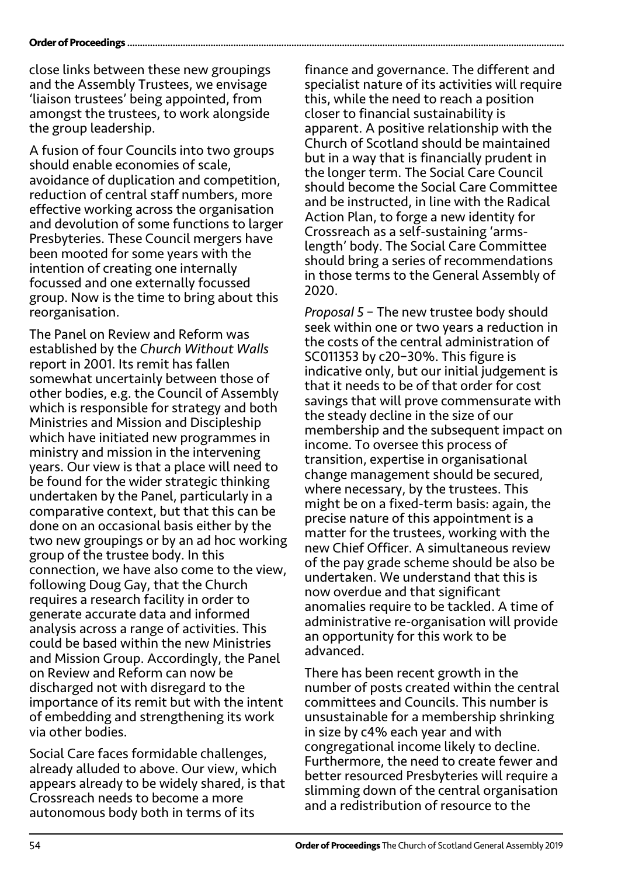#### **Order of Proceedings.**

close links between these new groupings and the Assembly Trustees, we envisage 'liaison trustees' being appointed, from amongst the trustees, to work alongside the group leadership.

A fusion of four Councils into two groups should enable economies of scale, avoidance of duplication and competition, reduction of central staff numbers, more effective working across the organisation and devolution of some functions to larger Presbyteries. These Council mergers have been mooted for some years with the intention of creating one internally focussed and one externally focussed group. Now is the time to bring about this reorganisation.

The Panel on Review and Reform was established by the *Church Without Walls* report in 2001. Its remit has fallen somewhat uncertainly between those of other bodies, e.g. the Council of Assembly which is responsible for strategy and both Ministries and Mission and Discipleship which have initiated new programmes in ministry and mission in the intervening years. Our view is that a place will need to be found for the wider strategic thinking undertaken by the Panel, particularly in a comparative context, but that this can be done on an occasional basis either by the two new groupings or by an ad hoc working group of the trustee body. In this connection, we have also come to the view, following Doug Gay, that the Church requires a research facility in order to generate accurate data and informed analysis across a range of activities. This could be based within the new Ministries and Mission Group. Accordingly, the Panel on Review and Reform can now be discharged not with disregard to the importance of its remit but with the intent of embedding and strengthening its work via other bodies.

Social Care faces formidable challenges, already alluded to above. Our view, which appears already to be widely shared, is that Crossreach needs to become a more autonomous body both in terms of its

finance and governance. The different and specialist nature of its activities will require this, while the need to reach a position closer to financial sustainability is apparent. A positive relationship with the Church of Scotland should be maintained but in a way that is financially prudent in the longer term. The Social Care Council should become the Social Care Committee and be instructed, in line with the Radical Action Plan, to forge a new identity for Crossreach as a self-sustaining 'armslength' body. The Social Care Committee should bring a series of recommendations in those terms to the General Assembly of 2020.

*Proposal 5* – The new trustee body should seek within one or two years a reduction in the costs of the central administration of SC011353 by c20–30%. This figure is indicative only, but our initial judgement is that it needs to be of that order for cost savings that will prove commensurate with the steady decline in the size of our membership and the subsequent impact on income. To oversee this process of transition, expertise in organisational change management should be secured, where necessary, by the trustees. This might be on a fixed-term basis: again, the precise nature of this appointment is a matter for the trustees, working with the new Chief Officer. A simultaneous review of the pay grade scheme should be also be undertaken. We understand that this is now overdue and that significant anomalies require to be tackled. A time of administrative re-organisation will provide an opportunity for this work to be advanced.

There has been recent growth in the number of posts created within the central committees and Councils. This number is unsustainable for a membership shrinking in size by c4% each year and with congregational income likely to decline. Furthermore, the need to create fewer and better resourced Presbyteries will require a slimming down of the central organisation and a redistribution of resource to the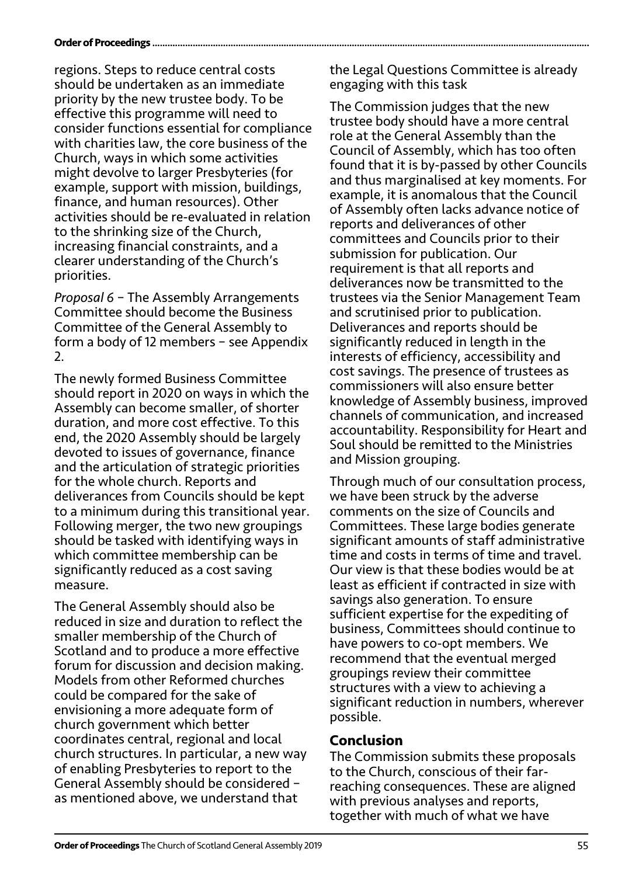#### **Order of Proceedings ........**

regions. Steps to reduce central costs should be undertaken as an immediate priority by the new trustee body. To be effective this programme will need to consider functions essential for compliance with charities law, the core business of the Church, ways in which some activities might devolve to larger Presbyteries (for example, support with mission, buildings, finance, and human resources). Other activities should be re-evaluated in relation to the shrinking size of the Church, increasing financial constraints, and a clearer understanding of the Church's priorities.

*Proposal 6* – The Assembly Arrangements Committee should become the Business Committee of the General Assembly to form a body of 12 members – see Appendix  $\mathcal{L}$ 

The newly formed Business Committee should report in 2020 on ways in which the Assembly can become smaller, of shorter duration, and more cost effective. To this end, the 2020 Assembly should be largely devoted to issues of governance, finance and the articulation of strategic priorities for the whole church. Reports and deliverances from Councils should be kept to a minimum during this transitional year. Following merger, the two new groupings should be tasked with identifying ways in which committee membership can be significantly reduced as a cost saving measure.

The General Assembly should also be reduced in size and duration to reflect the smaller membership of the Church of Scotland and to produce a more effective forum for discussion and decision making. Models from other Reformed churches could be compared for the sake of envisioning a more adequate form of church government which better coordinates central, regional and local church structures. In particular, a new way of enabling Presbyteries to report to the General Assembly should be considered – as mentioned above, we understand that

the Legal Questions Committee is already engaging with this task

The Commission judges that the new trustee body should have a more central role at the General Assembly than the Council of Assembly, which has too often found that it is by-passed by other Councils and thus marginalised at key moments. For example, it is anomalous that the Council of Assembly often lacks advance notice of reports and deliverances of other committees and Councils prior to their submission for publication. Our requirement is that all reports and deliverances now be transmitted to the trustees via the Senior Management Team and scrutinised prior to publication. Deliverances and reports should be significantly reduced in length in the interests of efficiency, accessibility and cost savings. The presence of trustees as commissioners will also ensure better knowledge of Assembly business, improved channels of communication, and increased accountability. Responsibility for Heart and Soul should be remitted to the Ministries and Mission grouping.

Through much of our consultation process, we have been struck by the adverse comments on the size of Councils and Committees. These large bodies generate significant amounts of staff administrative time and costs in terms of time and travel. Our view is that these bodies would be at least as efficient if contracted in size with savings also generation. To ensure sufficient expertise for the expediting of business, Committees should continue to have powers to co-opt members. We recommend that the eventual merged groupings review their committee structures with a view to achieving a significant reduction in numbers, wherever possible.

### **Conclusion**

The Commission submits these proposals to the Church, conscious of their farreaching consequences. These are aligned with previous analyses and reports, together with much of what we have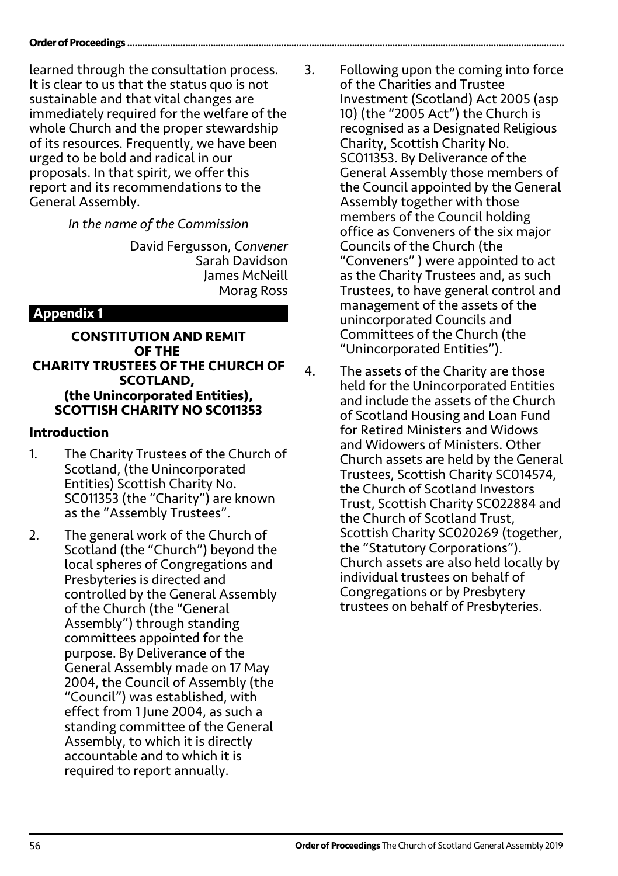learned through the consultation process. It is clear to us that the status quo is not sustainable and that vital changes are immediately required for the welfare of the whole Church and the proper stewardship of its resources. Frequently, we have been urged to be bold and radical in our proposals. In that spirit, we offer this report and its recommendations to the General Assembly.

*In the name of the Commission*

David Fergusson, *Convener* Sarah Davidson James McNeill Morag Ross

## **Appendix 1**

#### **CONSTITUTION AND REMIT OF THE CHARITY TRUSTEES OF THE CHURCH OF SCOTLAND, (the Unincorporated Entities), SCOTTISH CHARITY NO SC011353**

### **Introduction**

- 1. The Charity Trustees of the Church of Scotland, (the Unincorporated Entities) Scottish Charity No. SC011353 (the "Charity") are known as the "Assembly Trustees".
- 2. The general work of the Church of Scotland (the "Church") beyond the local spheres of Congregations and Presbyteries is directed and controlled by the General Assembly of the Church (the "General Assembly") through standing committees appointed for the purpose. By Deliverance of the General Assembly made on 17 May 2004, the Council of Assembly (the "Council") was established, with effect from 1 June 2004, as such a standing committee of the General Assembly, to which it is directly accountable and to which it is required to report annually.
- 3. Following upon the coming into force of the Charities and Trustee Investment (Scotland) Act 2005 (asp 10) (the "2005 Act") the Church is recognised as a Designated Religious Charity, Scottish Charity No. SC011353. By Deliverance of the General Assembly those members of the Council appointed by the General Assembly together with those members of the Council holding office as Conveners of the six major Councils of the Church (the "Conveners" ) were appointed to act as the Charity Trustees and, as such Trustees, to have general control and management of the assets of the unincorporated Councils and Committees of the Church (the "Unincorporated Entities").
- 4. The assets of the Charity are those held for the Unincorporated Entities and include the assets of the Church of Scotland Housing and Loan Fund for Retired Ministers and Widows and Widowers of Ministers. Other Church assets are held by the General Trustees, Scottish Charity SC014574, the Church of Scotland Investors Trust, Scottish Charity SC022884 and the Church of Scotland Trust, Scottish Charity SC020269 (together, the "Statutory Corporations"). Church assets are also held locally by individual trustees on behalf of Congregations or by Presbytery trustees on behalf of Presbyteries.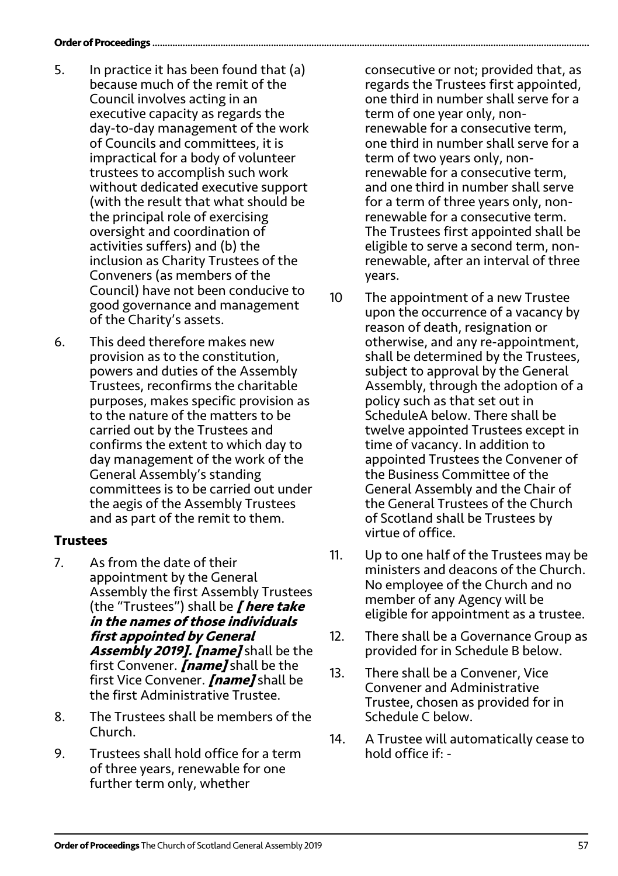#### **Order of Proceedings .........**

- 5. In practice it has been found that (a) because much of the remit of the Council involves acting in an executive capacity as regards the day-to-day management of the work of Councils and committees, it is impractical for a body of volunteer trustees to accomplish such work without dedicated executive support (with the result that what should be the principal role of exercising oversight and coordination of activities suffers) and (b) the inclusion as Charity Trustees of the Conveners (as members of the Council) have not been conducive to good governance and management of the Charity's assets.
- 6. This deed therefore makes new provision as to the constitution, powers and duties of the Assembly Trustees, reconfirms the charitable purposes, makes specific provision as to the nature of the matters to be carried out by the Trustees and confirms the extent to which day to day management of the work of the General Assembly's standing committees is to be carried out under the aegis of the Assembly Trustees and as part of the remit to them.

### **Trustees**

- 7. As from the date of their appointment by the General Assembly the first Assembly Trustees (the "Trustees") shall be **[ here take in the names of those individuals first appointed by General Assembly 2019]. [name]** shall be the first Convener. **[name]** shall be the first Vice Convener. **[name]** shall be the first Administrative Trustee.
- 8. The Trustees shall be members of the Church.
- 9. Trustees shall hold office for a term of three years, renewable for one further term only, whether

consecutive or not; provided that, as regards the Trustees first appointed, one third in number shall serve for a term of one year only, nonrenewable for a consecutive term, one third in number shall serve for a term of two years only, nonrenewable for a consecutive term, and one third in number shall serve for a term of three years only, nonrenewable for a consecutive term. The Trustees first appointed shall be eligible to serve a second term, nonrenewable, after an interval of three years.

- 10 The appointment of a new Trustee upon the occurrence of a vacancy by reason of death, resignation or otherwise, and any re-appointment, shall be determined by the Trustees, subject to approval by the General Assembly, through the adoption of a policy such as that set out in ScheduleA below. There shall be twelve appointed Trustees except in time of vacancy. In addition to appointed Trustees the Convener of the Business Committee of the General Assembly and the Chair of the General Trustees of the Church of Scotland shall be Trustees by virtue of office.
- 11. Up to one half of the Trustees may be ministers and deacons of the Church. No employee of the Church and no member of any Agency will be eligible for appointment as a trustee.
- 12. There shall be a Governance Group as provided for in Schedule B below.
- 13. There shall be a Convener, Vice Convener and Administrative Trustee, chosen as provided for in Schedule C below.
- 14. A Trustee will automatically cease to hold office if: -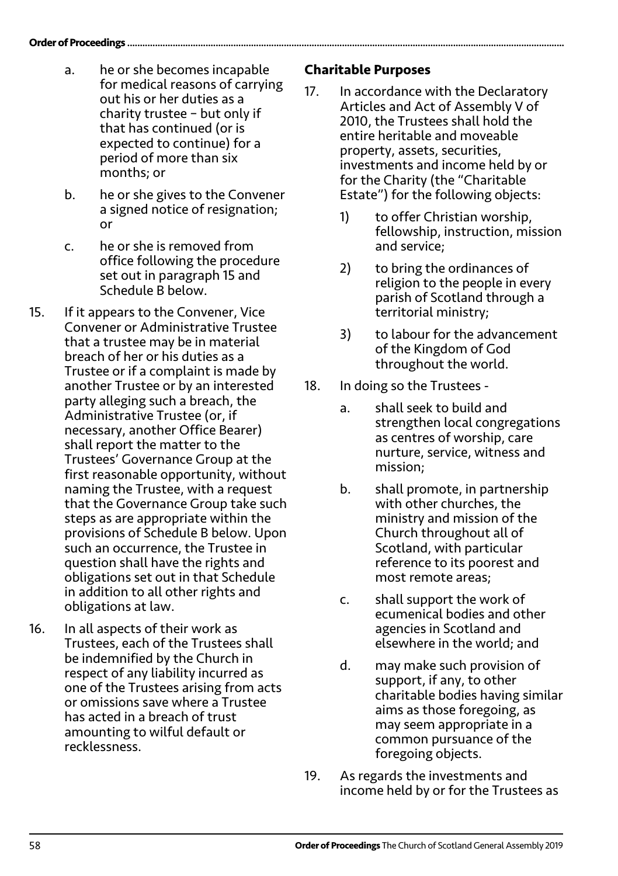- a. he or she becomes incapable for medical reasons of carrying out his or her duties as a charity trustee – but only if that has continued (or is expected to continue) for a period of more than six months; or
- b. he or she gives to the Convener a signed notice of resignation; or
- c. he or she is removed from office following the procedure set out in paragraph 15 and Schedule B below.
- 15. If it appears to the Convener, Vice Convener or Administrative Trustee that a trustee may be in material breach of her or his duties as a Trustee or if a complaint is made by another Trustee or by an interested party alleging such a breach, the Administrative Trustee (or, if necessary, another Office Bearer) shall report the matter to the Trustees' Governance Group at the first reasonable opportunity, without naming the Trustee, with a request that the Governance Group take such steps as are appropriate within the provisions of Schedule B below. Upon such an occurrence, the Trustee in question shall have the rights and obligations set out in that Schedule in addition to all other rights and obligations at law.
- 16. In all aspects of their work as Trustees, each of the Trustees shall be indemnified by the Church in respect of any liability incurred as one of the Trustees arising from acts or omissions save where a Trustee has acted in a breach of trust amounting to wilful default or recklessness.

### **Charitable Purposes**

- 17. In accordance with the Declaratory Articles and Act of Assembly V of 2010, the Trustees shall hold the entire heritable and moveable property, assets, securities, investments and income held by or for the Charity (the "Charitable Estate") for the following objects:
	- 1) to offer Christian worship, fellowship, instruction, mission and service;
	- 2) to bring the ordinances of religion to the people in every parish of Scotland through a territorial ministry;
	- 3) to labour for the advancement of the Kingdom of God throughout the world.
- 18. In doing so the Trustees
	- a. shall seek to build and strengthen local congregations as centres of worship, care nurture, service, witness and mission;
	- b. shall promote, in partnership with other churches, the ministry and mission of the Church throughout all of Scotland, with particular reference to its poorest and most remote areas;
	- c. shall support the work of ecumenical bodies and other agencies in Scotland and elsewhere in the world; and
	- d. may make such provision of support, if any, to other charitable bodies having similar aims as those foregoing, as may seem appropriate in a common pursuance of the foregoing objects.
- 19. As regards the investments and income held by or for the Trustees as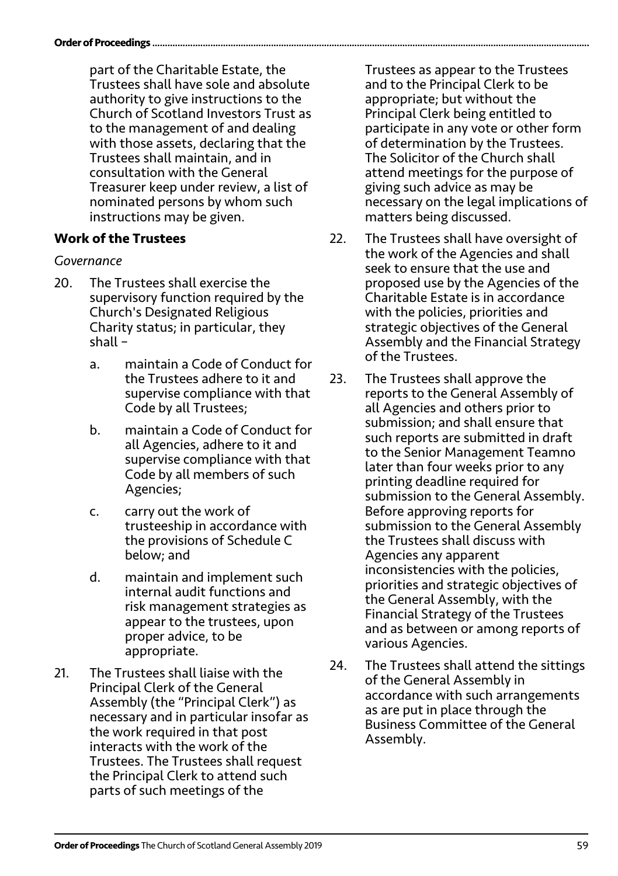#### **Order of Proceedings...**

part of the Charitable Estate, the Trustees shall have sole and absolute authority to give instructions to the Church of Scotland Investors Trust as to the management of and dealing with those assets, declaring that the Trustees shall maintain, and in consultation with the General Treasurer keep under review, a list of nominated persons by whom such instructions may be given.

### **Work of the Trustees**

#### *Governance*

- 20. The Trustees shall exercise the supervisory function required by the Church's Designated Religious Charity status; in particular, they shall –
	- a. maintain a Code of Conduct for the Trustees adhere to it and supervise compliance with that Code by all Trustees;
	- b. maintain a Code of Conduct for all Agencies, adhere to it and supervise compliance with that Code by all members of such Agencies;
	- c. carry out the work of trusteeship in accordance with the provisions of Schedule C below; and
	- d. maintain and implement such internal audit functions and risk management strategies as appear to the trustees, upon proper advice, to be appropriate.
- 21. The Trustees shall liaise with the Principal Clerk of the General Assembly (the "Principal Clerk") as necessary and in particular insofar as the work required in that post interacts with the work of the Trustees. The Trustees shall request the Principal Clerk to attend such parts of such meetings of the

Trustees as appear to the Trustees and to the Principal Clerk to be appropriate; but without the Principal Clerk being entitled to participate in any vote or other form of determination by the Trustees. The Solicitor of the Church shall attend meetings for the purpose of giving such advice as may be necessary on the legal implications of matters being discussed.

- 22. The Trustees shall have oversight of the work of the Agencies and shall seek to ensure that the use and proposed use by the Agencies of the Charitable Estate is in accordance with the policies, priorities and strategic objectives of the General Assembly and the Financial Strategy of the Trustees.
- 23. The Trustees shall approve the reports to the General Assembly of all Agencies and others prior to submission; and shall ensure that such reports are submitted in draft to the Senior Management Teamno later than four weeks prior to any printing deadline required for submission to the General Assembly. Before approving reports for submission to the General Assembly the Trustees shall discuss with Agencies any apparent inconsistencies with the policies, priorities and strategic objectives of the General Assembly, with the Financial Strategy of the Trustees and as between or among reports of various Agencies.
- 24. The Trustees shall attend the sittings of the General Assembly in accordance with such arrangements as are put in place through the Business Committee of the General Assembly.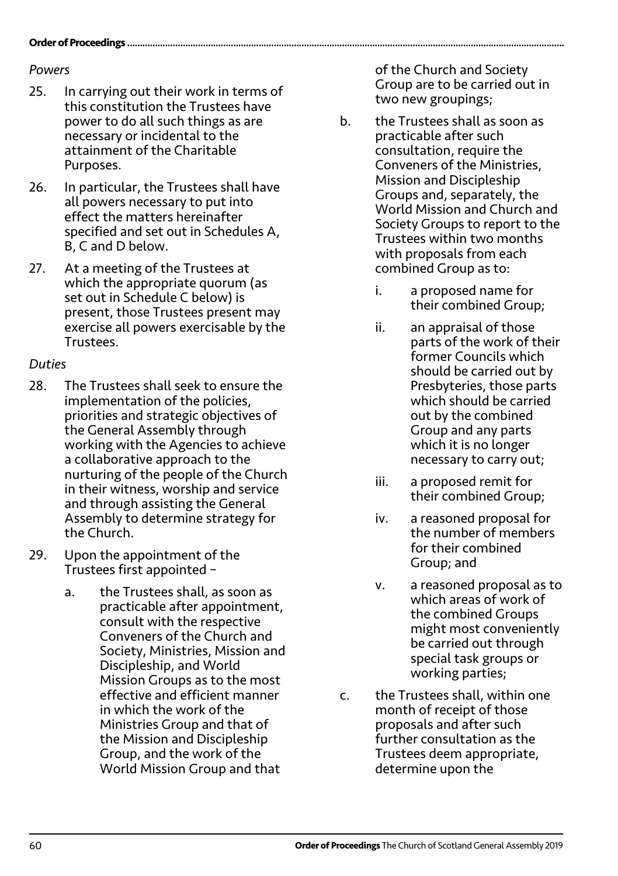#### **Order of Proceedings..**

#### *Powers*

- 25. In carrying out their work in terms of this constitution the Trustees have power to do all such things as are necessary or incidental to the attainment of the Charitable Purposes.
- 26. In particular, the Trustees shall have all powers necessary to put into effect the matters hereinafter specified and set out in Schedules A, B, C and D below.
- 27. At a meeting of the Trustees at which the appropriate quorum (as set out in Schedule C below) is present, those Trustees present may exercise all powers exercisable by the Trustees.

### *Duties*

- 28. The Trustees shall seek to ensure the implementation of the policies, priorities and strategic objectives of the General Assembly through working with the Agencies to achieve a collaborative approach to the nurturing of the people of the Church in their witness, worship and service and through assisting the General Assembly to determine strategy for the Church.
- 29. Upon the appointment of the Trustees first appointed –
	- a. the Trustees shall, as soon as practicable after appointment, consult with the respective Conveners of the Church and Society, Ministries, Mission and Discipleship, and World Mission Groups as to the most effective and efficient manner in which the work of the Ministries Group and that of the Mission and Discipleship Group, and the work of the World Mission Group and that

of the Church and Society Group are to be carried out in two new groupings;

- b. the Trustees shall as soon as practicable after such consultation, require the Conveners of the Ministries, Mission and Discipleship Groups and, separately, the World Mission and Church and Society Groups to report to the Trustees within two months with proposals from each combined Group as to:
	- i. a proposed name for their combined Group;
	- ii. an appraisal of those parts of the work of their former Councils which should be carried out by Presbyteries, those parts which should be carried out by the combined Group and any parts which it is no longer necessary to carry out;
	- iii. a proposed remit for their combined Group;
	- iv. a reasoned proposal for the number of members for their combined Group; and
	- v. a reasoned proposal as to which areas of work of the combined Groups might most conveniently be carried out through special task groups or working parties;
- c. the Trustees shall, within one month of receipt of those proposals and after such further consultation as the Trustees deem appropriate, determine upon the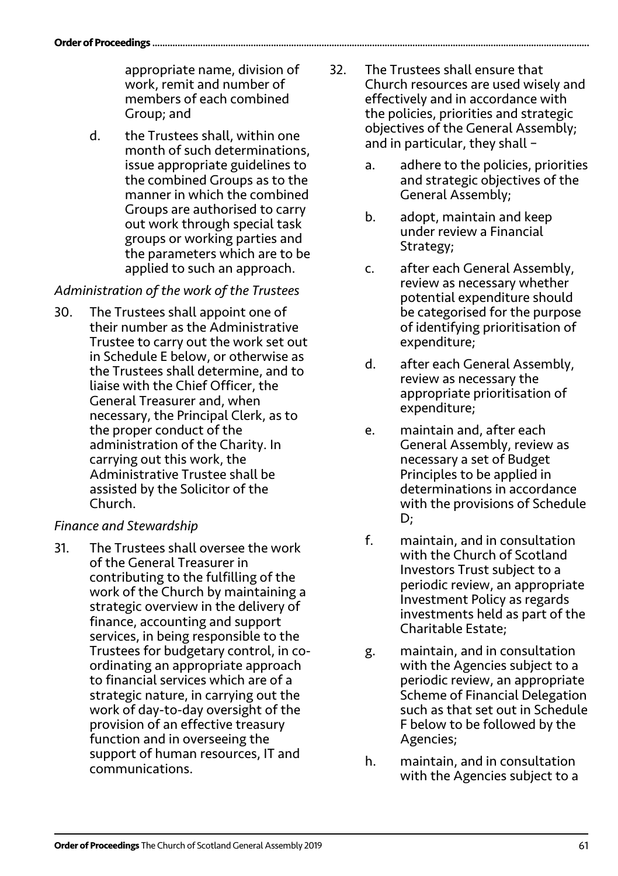appropriate name, division of work, remit and number of members of each combined Group; and

d. the Trustees shall, within one month of such determinations, issue appropriate guidelines to the combined Groups as to the manner in which the combined Groups are authorised to carry out work through special task groups or working parties and the parameters which are to be applied to such an approach.

### *Administration of the work of the Trustees*

30. The Trustees shall appoint one of their number as the Administrative Trustee to carry out the work set out in Schedule E below, or otherwise as the Trustees shall determine, and to liaise with the Chief Officer, the General Treasurer and, when necessary, the Principal Clerk, as to the proper conduct of the administration of the Charity. In carrying out this work, the Administrative Trustee shall be assisted by the Solicitor of the Church.

### *Finance and Stewardship*

31. The Trustees shall oversee the work of the General Treasurer in contributing to the fulfilling of the work of the Church by maintaining a strategic overview in the delivery of finance, accounting and support services, in being responsible to the Trustees for budgetary control, in coordinating an appropriate approach to financial services which are of a strategic nature, in carrying out the work of day-to-day oversight of the provision of an effective treasury function and in overseeing the support of human resources, IT and communications.

- 32. The Trustees shall ensure that Church resources are used wisely and effectively and in accordance with the policies, priorities and strategic objectives of the General Assembly; and in particular, they shall –
	- a. adhere to the policies, priorities and strategic objectives of the General Assembly;
	- b. adopt, maintain and keep under review a Financial Strategy;
	- c. after each General Assembly, review as necessary whether potential expenditure should be categorised for the purpose of identifying prioritisation of expenditure;
	- d. after each General Assembly, review as necessary the appropriate prioritisation of expenditure;
	- e. maintain and, after each General Assembly, review as necessary a set of Budget Principles to be applied in determinations in accordance with the provisions of Schedule D;
	- f. maintain, and in consultation with the Church of Scotland Investors Trust subject to a periodic review, an appropriate Investment Policy as regards investments held as part of the Charitable Estate;
	- g. maintain, and in consultation with the Agencies subject to a periodic review, an appropriate Scheme of Financial Delegation such as that set out in Schedule F below to be followed by the Agencies;
	- h. maintain, and in consultation with the Agencies subject to a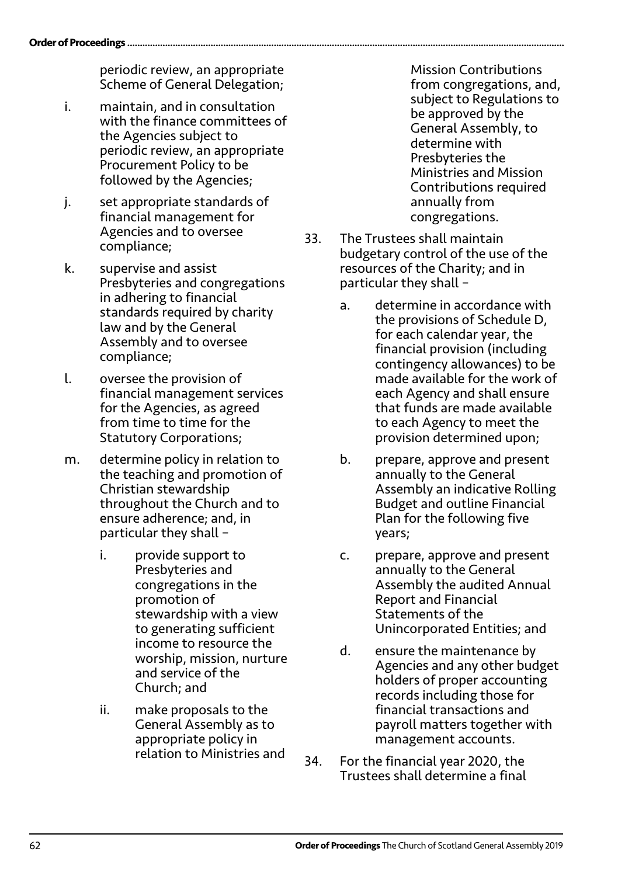#### **Order of Proceedings**

periodic review, an appropriate Scheme of General Delegation;

- i. maintain, and in consultation with the finance committees of the Agencies subject to periodic review, an appropriate Procurement Policy to be followed by the Agencies;
- j. set appropriate standards of financial management for Agencies and to oversee compliance;
- k. supervise and assist Presbyteries and congregations in adhering to financial standards required by charity law and by the General Assembly and to oversee compliance;
- l. oversee the provision of financial management services for the Agencies, as agreed from time to time for the Statutory Corporations;
- m. determine policy in relation to the teaching and promotion of Christian stewardship throughout the Church and to ensure adherence; and, in particular they shall –
	- i. provide support to Presbyteries and congregations in the promotion of stewardship with a view to generating sufficient income to resource the worship, mission, nurture and service of the Church; and
	- ii. make proposals to the General Assembly as to appropriate policy in relation to Ministries and

Mission Contributions from congregations, and, subject to Regulations to be approved by the General Assembly, to determine with Presbyteries the Ministries and Mission Contributions required annually from congregations.

- 33. The Trustees shall maintain budgetary control of the use of the resources of the Charity; and in particular they shall –
	- a. determine in accordance with the provisions of Schedule D, for each calendar year, the financial provision (including contingency allowances) to be made available for the work of each Agency and shall ensure that funds are made available to each Agency to meet the provision determined upon;
	- b. prepare, approve and present annually to the General Assembly an indicative Rolling Budget and outline Financial Plan for the following five years;
	- c. prepare, approve and present annually to the General Assembly the audited Annual Report and Financial Statements of the Unincorporated Entities; and
	- d. ensure the maintenance by Agencies and any other budget holders of proper accounting records including those for financial transactions and payroll matters together with management accounts.
- 34. For the financial year 2020, the Trustees shall determine a final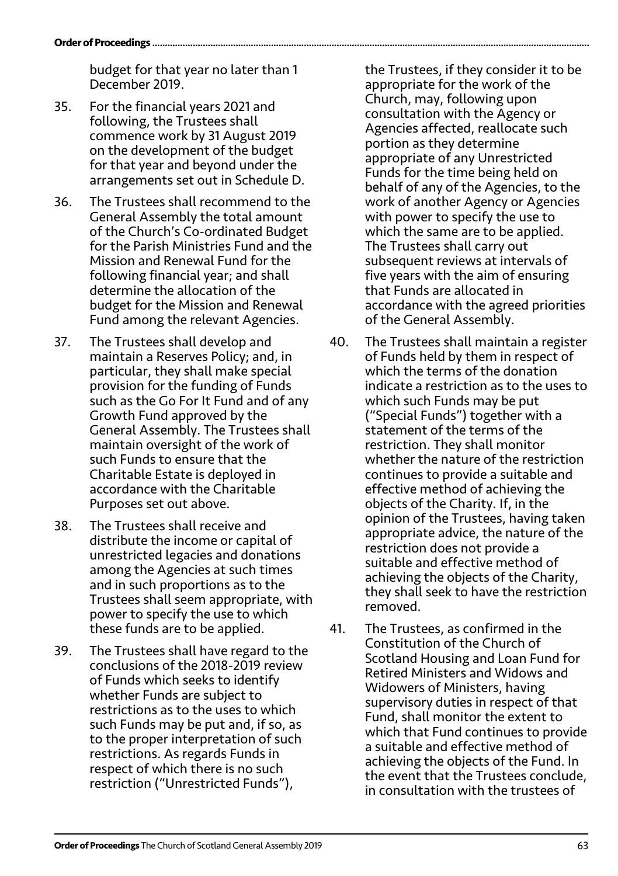budget for that year no later than 1 December 2019.

- 35. For the financial years 2021 and following, the Trustees shall commence work by 31 August 2019 on the development of the budget for that year and beyond under the arrangements set out in Schedule D.
- 36. The Trustees shall recommend to the General Assembly the total amount of the Church's Co-ordinated Budget for the Parish Ministries Fund and the Mission and Renewal Fund for the following financial year; and shall determine the allocation of the budget for the Mission and Renewal Fund among the relevant Agencies.
- 37. The Trustees shall develop and maintain a Reserves Policy; and, in particular, they shall make special provision for the funding of Funds such as the Go For It Fund and of any Growth Fund approved by the General Assembly. The Trustees shall maintain oversight of the work of such Funds to ensure that the Charitable Estate is deployed in accordance with the Charitable Purposes set out above.
- 38. The Trustees shall receive and distribute the income or capital of unrestricted legacies and donations among the Agencies at such times and in such proportions as to the Trustees shall seem appropriate, with power to specify the use to which these funds are to be applied.
- 39. The Trustees shall have regard to the conclusions of the 2018-2019 review of Funds which seeks to identify whether Funds are subject to restrictions as to the uses to which such Funds may be put and, if so, as to the proper interpretation of such restrictions. As regards Funds in respect of which there is no such restriction ("Unrestricted Funds"),

the Trustees, if they consider it to be appropriate for the work of the Church, may, following upon consultation with the Agency or Agencies affected, reallocate such portion as they determine appropriate of any Unrestricted Funds for the time being held on behalf of any of the Agencies, to the work of another Agency or Agencies with power to specify the use to which the same are to be applied. The Trustees shall carry out subsequent reviews at intervals of five years with the aim of ensuring that Funds are allocated in accordance with the agreed priorities of the General Assembly.

- 40. The Trustees shall maintain a register of Funds held by them in respect of which the terms of the donation indicate a restriction as to the uses to which such Funds may be put ("Special Funds") together with a statement of the terms of the restriction. They shall monitor whether the nature of the restriction continues to provide a suitable and effective method of achieving the objects of the Charity. If, in the opinion of the Trustees, having taken appropriate advice, the nature of the restriction does not provide a suitable and effective method of achieving the objects of the Charity, they shall seek to have the restriction removed.
- 41. The Trustees, as confirmed in the Constitution of the Church of Scotland Housing and Loan Fund for Retired Ministers and Widows and Widowers of Ministers, having supervisory duties in respect of that Fund, shall monitor the extent to which that Fund continues to provide a suitable and effective method of achieving the objects of the Fund. In the event that the Trustees conclude, in consultation with the trustees of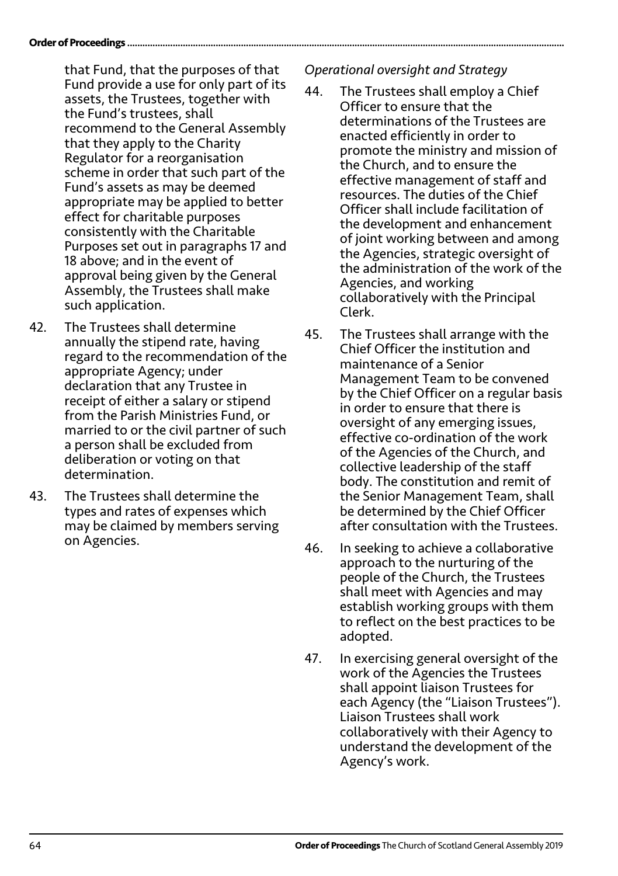that Fund, that the purposes of that Fund provide a use for only part of its assets, the Trustees, together with the Fund's trustees, shall recommend to the General Assembly that they apply to the Charity Regulator for a reorganisation scheme in order that such part of the Fund's assets as may be deemed appropriate may be applied to better effect for charitable purposes consistently with the Charitable Purposes set out in paragraphs 17 and 18 above; and in the event of approval being given by the General Assembly, the Trustees shall make such application.

- 42. The Trustees shall determine annually the stipend rate, having regard to the recommendation of the appropriate Agency; under declaration that any Trustee in receipt of either a salary or stipend from the Parish Ministries Fund, or married to or the civil partner of such a person shall be excluded from deliberation or voting on that determination.
- 43. The Trustees shall determine the types and rates of expenses which may be claimed by members serving on Agencies.

*Operational oversight and Strategy*

- 44. The Trustees shall employ a Chief Officer to ensure that the determinations of the Trustees are enacted efficiently in order to promote the ministry and mission of the Church, and to ensure the effective management of staff and resources. The duties of the Chief Officer shall include facilitation of the development and enhancement of joint working between and among the Agencies, strategic oversight of the administration of the work of the Agencies, and working collaboratively with the Principal Clerk.
- 45. The Trustees shall arrange with the Chief Officer the institution and maintenance of a Senior Management Team to be convened by the Chief Officer on a regular basis in order to ensure that there is oversight of any emerging issues, effective co-ordination of the work of the Agencies of the Church, and collective leadership of the staff body. The constitution and remit of the Senior Management Team, shall be determined by the Chief Officer after consultation with the Trustees.
- 46. In seeking to achieve a collaborative approach to the nurturing of the people of the Church, the Trustees shall meet with Agencies and may establish working groups with them to reflect on the best practices to be adopted.
- 47. In exercising general oversight of the work of the Agencies the Trustees shall appoint liaison Trustees for each Agency (the "Liaison Trustees"). Liaison Trustees shall work collaboratively with their Agency to understand the development of the Agency's work.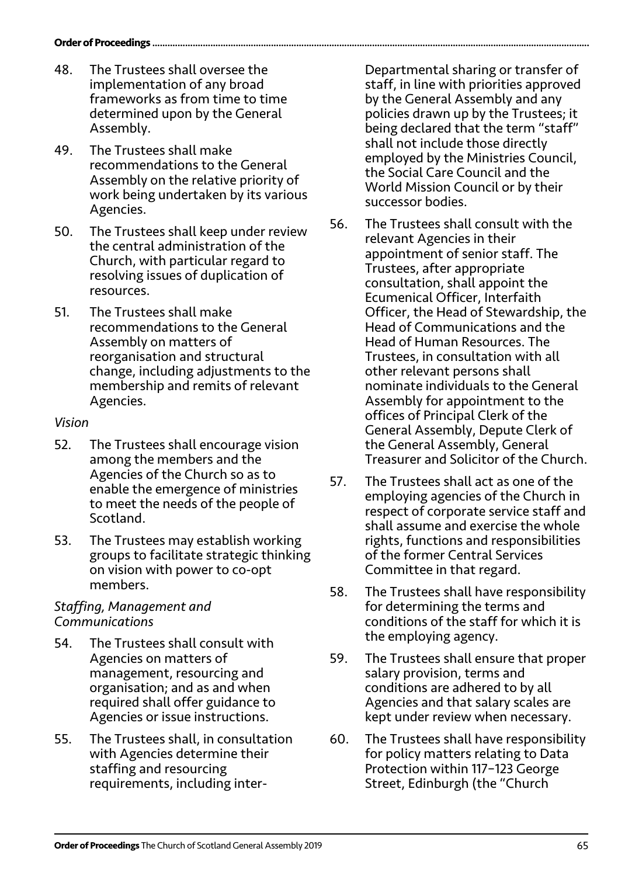- 48. The Trustees shall oversee the implementation of any broad frameworks as from time to time determined upon by the General Assembly.
- 49. The Trustees shall make recommendations to the General Assembly on the relative priority of work being undertaken by its various Agencies.
- 50. The Trustees shall keep under review the central administration of the Church, with particular regard to resolving issues of duplication of resources.
- 51. The Trustees shall make recommendations to the General Assembly on matters of reorganisation and structural change, including adjustments to the membership and remits of relevant Agencies.

### *Vision*

- 52. The Trustees shall encourage vision among the members and the Agencies of the Church so as to enable the emergence of ministries to meet the needs of the people of Scotland.
- 53. The Trustees may establish working groups to facilitate strategic thinking on vision with power to co-opt members.

### *Staffing, Management and Communications*

- 54. The Trustees shall consult with Agencies on matters of management, resourcing and organisation; and as and when required shall offer guidance to Agencies or issue instructions.
- 55. The Trustees shall, in consultation with Agencies determine their staffing and resourcing requirements, including inter-

Departmental sharing or transfer of staff, in line with priorities approved by the General Assembly and any policies drawn up by the Trustees; it being declared that the term "staff" shall not include those directly employed by the Ministries Council, the Social Care Council and the World Mission Council or by their successor bodies.

- 56. The Trustees shall consult with the relevant Agencies in their appointment of senior staff. The Trustees, after appropriate consultation, shall appoint the Ecumenical Officer, Interfaith Officer, the Head of Stewardship, the Head of Communications and the Head of Human Resources. The Trustees, in consultation with all other relevant persons shall nominate individuals to the General Assembly for appointment to the offices of Principal Clerk of the General Assembly, Depute Clerk of the General Assembly, General Treasurer and Solicitor of the Church.
- 57. The Trustees shall act as one of the employing agencies of the Church in respect of corporate service staff and shall assume and exercise the whole rights, functions and responsibilities of the former Central Services Committee in that regard.
- 58. The Trustees shall have responsibility for determining the terms and conditions of the staff for which it is the employing agency.
- 59. The Trustees shall ensure that proper salary provision, terms and conditions are adhered to by all Agencies and that salary scales are kept under review when necessary.
- 60. The Trustees shall have responsibility for policy matters relating to Data Protection within 117–123 George Street, Edinburgh (the "Church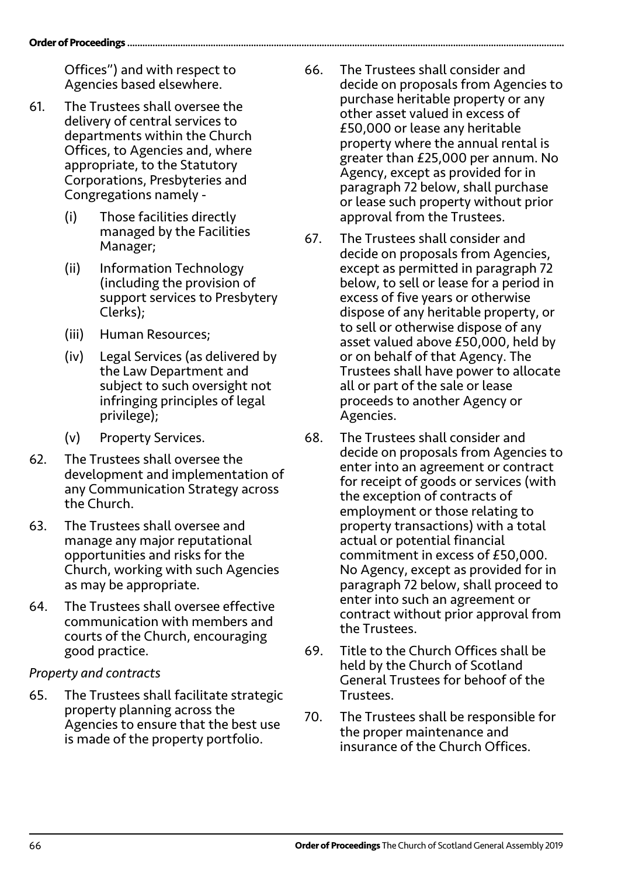Offices") and with respect to Agencies based elsewhere.

- 61. The Trustees shall oversee the delivery of central services to departments within the Church Offices, to Agencies and, where appropriate, to the Statutory Corporations, Presbyteries and Congregations namely -
	- (i) Those facilities directly managed by the Facilities Manager;
	- (ii) Information Technology (including the provision of support services to Presbytery Clerks);
	- (iii) Human Resources;
	- (iv) Legal Services (as delivered by the Law Department and subject to such oversight not infringing principles of legal privilege);
	- (v) Property Services.
- 62. The Trustees shall oversee the development and implementation of any Communication Strategy across the Church.
- 63. The Trustees shall oversee and manage any major reputational opportunities and risks for the Church, working with such Agencies as may be appropriate.
- 64. The Trustees shall oversee effective communication with members and courts of the Church, encouraging good practice.

### *Property and contracts*

65. The Trustees shall facilitate strategic property planning across the Agencies to ensure that the best use is made of the property portfolio.

- 66. The Trustees shall consider and decide on proposals from Agencies to purchase heritable property or any other asset valued in excess of £50,000 or lease any heritable property where the annual rental is greater than £25,000 per annum. No Agency, except as provided for in paragraph 72 below, shall purchase or lease such property without prior approval from the Trustees.
- 67. The Trustees shall consider and decide on proposals from Agencies, except as permitted in paragraph 72 below, to sell or lease for a period in excess of five years or otherwise dispose of any heritable property, or to sell or otherwise dispose of any asset valued above £50,000, held by or on behalf of that Agency. The Trustees shall have power to allocate all or part of the sale or lease proceeds to another Agency or Agencies.
- 68. The Trustees shall consider and decide on proposals from Agencies to enter into an agreement or contract for receipt of goods or services (with the exception of contracts of employment or those relating to property transactions) with a total actual or potential financial commitment in excess of £50,000. No Agency, except as provided for in paragraph 72 below, shall proceed to enter into such an agreement or contract without prior approval from the Trustees.
- 69. Title to the Church Offices shall be held by the Church of Scotland General Trustees for behoof of the Trustees.
- 70. The Trustees shall be responsible for the proper maintenance and insurance of the Church Offices.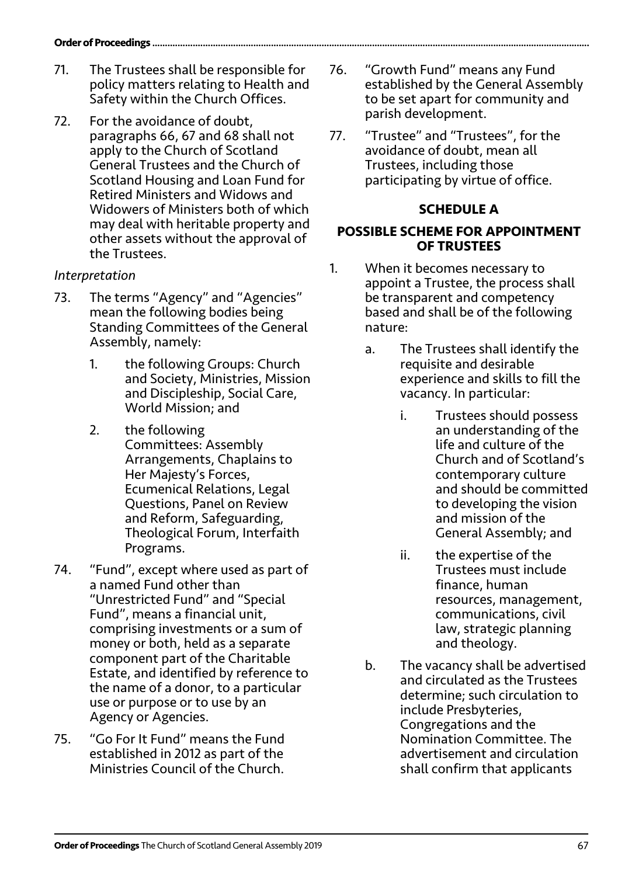- 71. The Trustees shall be responsible for policy matters relating to Health and Safety within the Church Offices.
- 72. For the avoidance of doubt, paragraphs 66, 67 and 68 shall not apply to the Church of Scotland General Trustees and the Church of Scotland Housing and Loan Fund for Retired Ministers and Widows and Widowers of Ministers both of which may deal with heritable property and other assets without the approval of the Trustees.

## *Interpretation*

- 73. The terms "Agency" and "Agencies" mean the following bodies being Standing Committees of the General Assembly, namely:
	- 1. the following Groups: Church and Society, Ministries, Mission and Discipleship, Social Care, World Mission; and
	- 2. the following Committees: Assembly Arrangements, Chaplains to Her Majesty's Forces, Ecumenical Relations, Legal Questions, Panel on Review and Reform, Safeguarding, Theological Forum, Interfaith Programs.
- 74. "Fund", except where used as part of a named Fund other than "Unrestricted Fund" and "Special Fund", means a financial unit, comprising investments or a sum of money or both, held as a separate component part of the Charitable Estate, and identified by reference to the name of a donor, to a particular use or purpose or to use by an Agency or Agencies.
- 75. "Go For It Fund" means the Fund established in 2012 as part of the Ministries Council of the Church.
- 76. "Growth Fund" means any Fund established by the General Assembly to be set apart for community and parish development.
- 77. "Trustee" and "Trustees", for the avoidance of doubt, mean all Trustees, including those participating by virtue of office.

## **SCHEDULE A**

### **POSSIBLE SCHEME FOR APPOINTMENT OF TRUSTEES**

- 1. When it becomes necessary to appoint a Trustee, the process shall be transparent and competency based and shall be of the following nature:
	- a. The Trustees shall identify the requisite and desirable experience and skills to fill the vacancy. In particular:
		- i. Trustees should possess an understanding of the life and culture of the Church and of Scotland's contemporary culture and should be committed to developing the vision and mission of the General Assembly; and
		- ii. the expertise of the Trustees must include finance, human resources, management, communications, civil law, strategic planning and theology.
	- b. The vacancy shall be advertised and circulated as the Trustees determine; such circulation to include Presbyteries, Congregations and the Nomination Committee. The advertisement and circulation shall confirm that applicants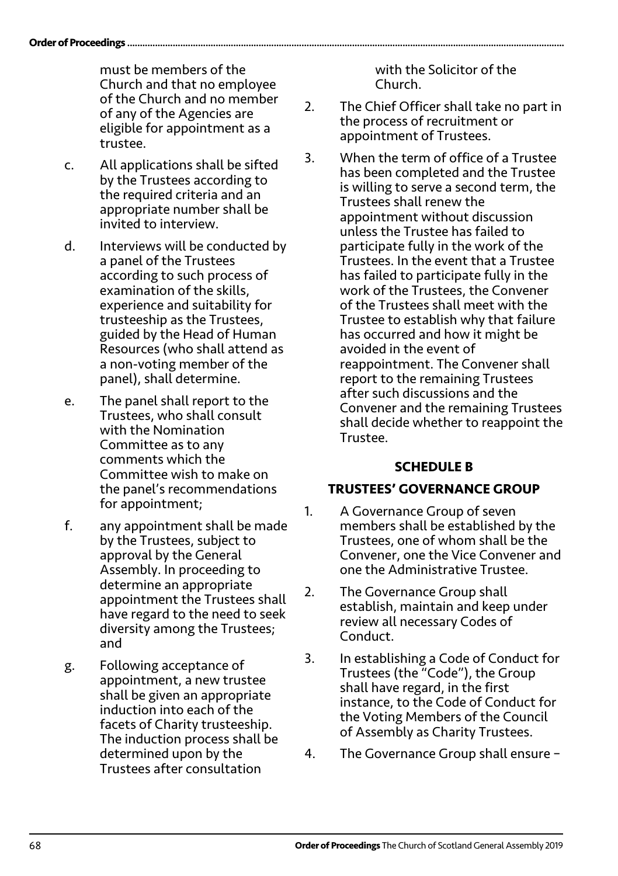must be members of the Church and that no employee of the Church and no member of any of the Agencies are eligible for appointment as a trustee.

- c. All applications shall be sifted by the Trustees according to the required criteria and an appropriate number shall be invited to interview.
- d. Interviews will be conducted by a panel of the Trustees according to such process of examination of the skills, experience and suitability for trusteeship as the Trustees, guided by the Head of Human Resources (who shall attend as a non-voting member of the panel), shall determine.
- e. The panel shall report to the Trustees, who shall consult with the Nomination Committee as to any comments which the Committee wish to make on the panel's recommendations for appointment;
- f. any appointment shall be made by the Trustees, subject to approval by the General Assembly. In proceeding to determine an appropriate appointment the Trustees shall have regard to the need to seek diversity among the Trustees; and
- g. Following acceptance of appointment, a new trustee shall be given an appropriate induction into each of the facets of Charity trusteeship. The induction process shall be determined upon by the Trustees after consultation

with the Solicitor of the Church.

- 2. The Chief Officer shall take no part in the process of recruitment or appointment of Trustees.
- 3. When the term of office of a Trustee has been completed and the Trustee is willing to serve a second term, the Trustees shall renew the appointment without discussion unless the Trustee has failed to participate fully in the work of the Trustees. In the event that a Trustee has failed to participate fully in the work of the Trustees, the Convener of the Trustees shall meet with the Trustee to establish why that failure has occurred and how it might be avoided in the event of reappointment. The Convener shall report to the remaining Trustees after such discussions and the Convener and the remaining Trustees shall decide whether to reappoint the Trustee.

### **SCHEDULE B**

## **TRUSTEES' GOVERNANCE GROUP**

- 1. A Governance Group of seven members shall be established by the Trustees, one of whom shall be the Convener, one the Vice Convener and one the Administrative Trustee.
- 2. The Governance Group shall establish, maintain and keep under review all necessary Codes of Conduct.
- 3. In establishing a Code of Conduct for Trustees (the "Code"), the Group shall have regard, in the first instance, to the Code of Conduct for the Voting Members of the Council of Assembly as Charity Trustees.
- 4. The Governance Group shall ensure –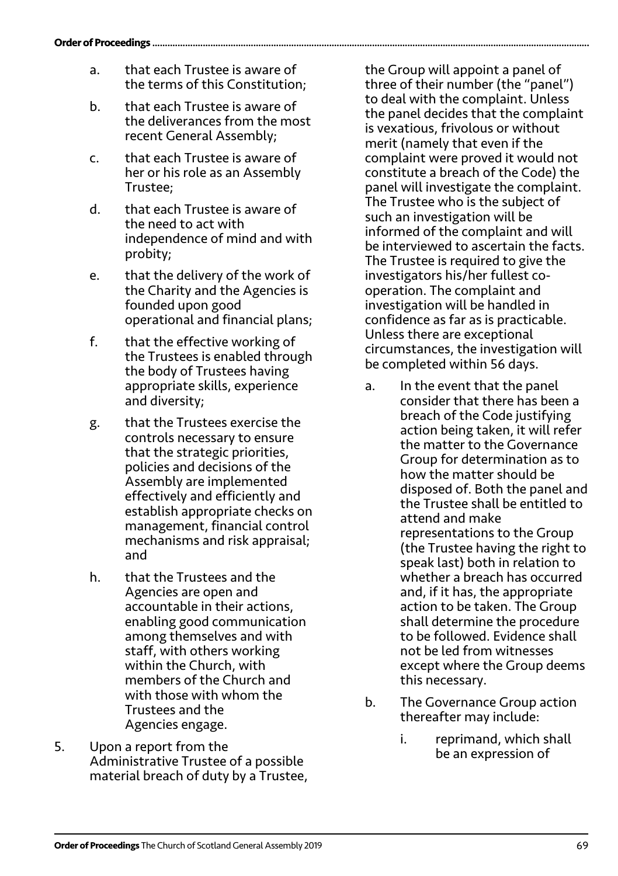- a. that each Trustee is aware of the terms of this Constitution;
- b. that each Trustee is aware of the deliverances from the most recent General Assembly;
- c. that each Trustee is aware of her or his role as an Assembly Trustee;
- d. that each Trustee is aware of the need to act with independence of mind and with probity;
- e. that the delivery of the work of the Charity and the Agencies is founded upon good operational and financial plans;
- f. that the effective working of the Trustees is enabled through the body of Trustees having appropriate skills, experience and diversity;
- g. that the Trustees exercise the controls necessary to ensure that the strategic priorities, policies and decisions of the Assembly are implemented effectively and efficiently and establish appropriate checks on management, financial control mechanisms and risk appraisal; and
- h. that the Trustees and the Agencies are open and accountable in their actions, enabling good communication among themselves and with staff, with others working within the Church, with members of the Church and with those with whom the Trustees and the Agencies engage.
- 5. Upon a report from the Administrative Trustee of a possible material breach of duty by a Trustee,

the Group will appoint a panel of three of their number (the "panel") to deal with the complaint. Unless the panel decides that the complaint is vexatious, frivolous or without merit (namely that even if the complaint were proved it would not constitute a breach of the Code) the panel will investigate the complaint. The Trustee who is the subject of such an investigation will be informed of the complaint and will be interviewed to ascertain the facts. The Trustee is required to give the investigators his/her fullest cooperation. The complaint and investigation will be handled in confidence as far as is practicable. Unless there are exceptional circumstances, the investigation will be completed within 56 days.

- a. In the event that the panel consider that there has been a breach of the Code justifying action being taken, it will refer the matter to the Governance Group for determination as to how the matter should be disposed of. Both the panel and the Trustee shall be entitled to attend and make representations to the Group (the Trustee having the right to speak last) both in relation to whether a breach has occurred and, if it has, the appropriate action to be taken. The Group shall determine the procedure to be followed. Evidence shall not be led from witnesses except where the Group deems this necessary.
- b. The Governance Group action thereafter may include:
	- i. reprimand, which shall be an expression of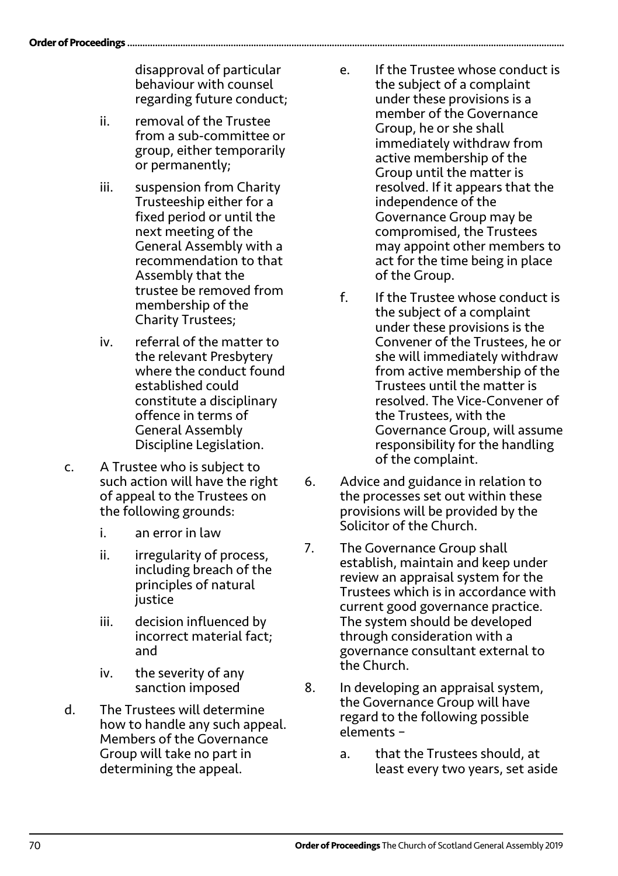disapproval of particular behaviour with counsel regarding future conduct;

- ii. removal of the Trustee from a sub-committee or group, either temporarily or permanently;
- iii. suspension from Charity Trusteeship either for a fixed period or until the next meeting of the General Assembly with a recommendation to that Assembly that the trustee be removed from membership of the Charity Trustees;
- iv. referral of the matter to the relevant Presbytery where the conduct found established could constitute a disciplinary offence in terms of General Assembly Discipline Legislation.
- c. A Trustee who is subject to such action will have the right of appeal to the Trustees on the following grounds:
	- i. an error in law
	- ii. irregularity of process, including breach of the principles of natural justice
	- iii. decision influenced by incorrect material fact; and
	- iv. the severity of any sanction imposed
- d. The Trustees will determine how to handle any such appeal. Members of the Governance Group will take no part in determining the appeal.
- e. If the Trustee whose conduct is the subject of a complaint under these provisions is a member of the Governance Group, he or she shall immediately withdraw from active membership of the Group until the matter is resolved. If it appears that the independence of the Governance Group may be compromised, the Trustees may appoint other members to act for the time being in place of the Group.
- f. If the Trustee whose conduct is the subject of a complaint under these provisions is the Convener of the Trustees, he or she will immediately withdraw from active membership of the Trustees until the matter is resolved. The Vice-Convener of the Trustees, with the Governance Group, will assume responsibility for the handling of the complaint.
- 6. Advice and guidance in relation to the processes set out within these provisions will be provided by the Solicitor of the Church.
- 7. The Governance Group shall establish, maintain and keep under review an appraisal system for the Trustees which is in accordance with current good governance practice. The system should be developed through consideration with a governance consultant external to the Church.
- 8. In developing an appraisal system, the Governance Group will have regard to the following possible elements –
	- a. that the Trustees should, at least every two years, set aside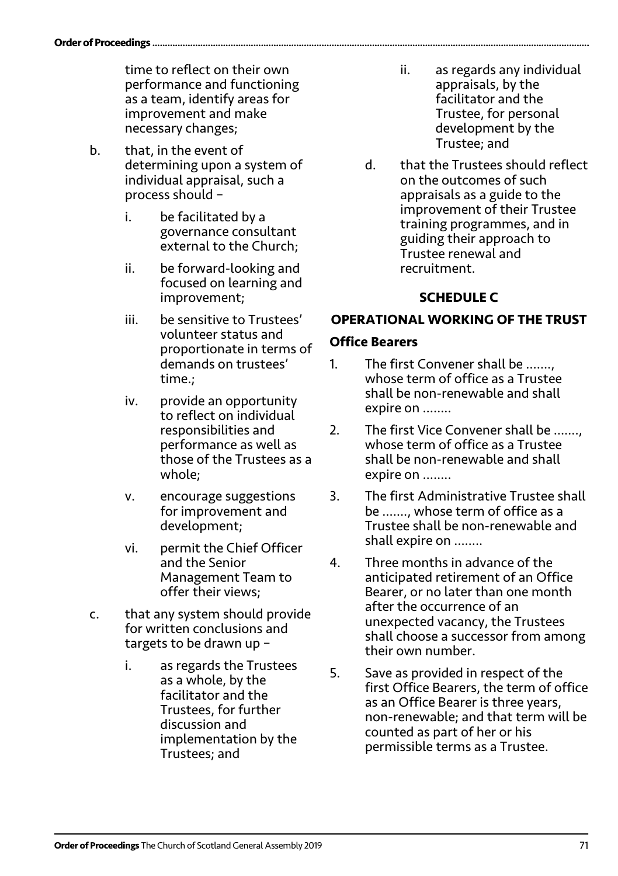time to reflect on their own performance and functioning as a team, identify areas for improvement and make necessary changes;

- b. that, in the event of determining upon a system of individual appraisal, such a process should –
	- i. be facilitated by a governance consultant external to the Church;
	- ii. be forward-looking and focused on learning and improvement;
	- iii. be sensitive to Trustees' volunteer status and proportionate in terms of demands on trustees' time.;
	- iv. provide an opportunity to reflect on individual responsibilities and performance as well as those of the Trustees as a whole;
	- v. encourage suggestions for improvement and development;
	- vi. permit the Chief Officer and the Senior Management Team to offer their views;
- c. that any system should provide for written conclusions and targets to be drawn up –
	- i. as regards the Trustees as a whole, by the facilitator and the Trustees, for further discussion and implementation by the Trustees; and
- ii. as regards any individual appraisals, by the facilitator and the Trustee, for personal development by the Trustee; and
- d. that the Trustees should reflect on the outcomes of such appraisals as a guide to the improvement of their Trustee training programmes, and in guiding their approach to Trustee renewal and recruitment.

## **SCHEDULE C**

## **OPERATIONAL WORKING OF THE TRUST**

### **Office Bearers**

- 1. The first Convener shall be ……., whose term of office as a Trustee shall be non-renewable and shall expire on ……..
- 2. The first Vice Convener shall be ……., whose term of office as a Trustee shall be non-renewable and shall expire on ……..
- 3. The first Administrative Trustee shall be ……., whose term of office as a Trustee shall be non-renewable and shall expire on ……..
- 4. Three months in advance of the anticipated retirement of an Office Bearer, or no later than one month after the occurrence of an unexpected vacancy, the Trustees shall choose a successor from among their own number.
- 5. Save as provided in respect of the first Office Bearers, the term of office as an Office Bearer is three years, non-renewable; and that term will be counted as part of her or his permissible terms as a Trustee.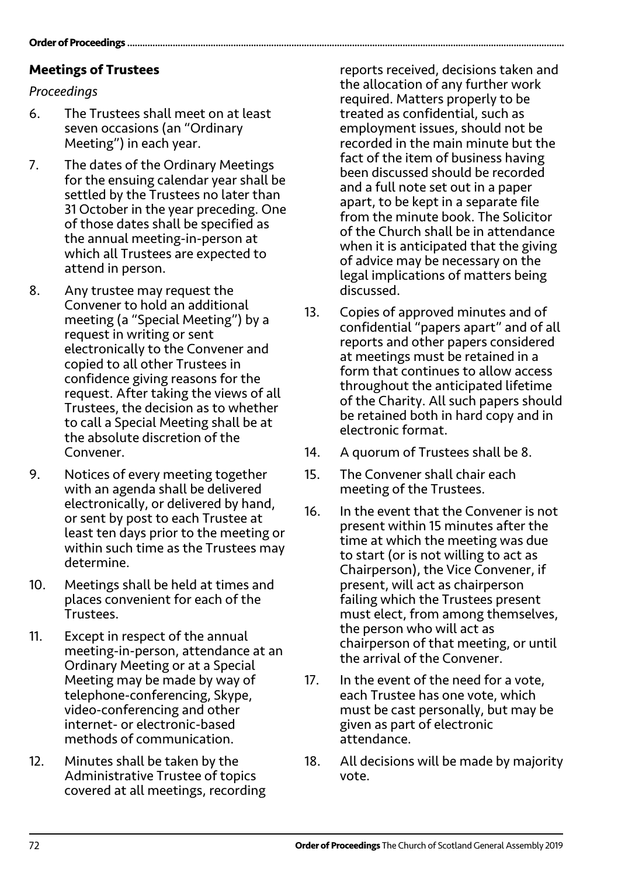## **Meetings of Trustees**

## *Proceedings*

- 6. The Trustees shall meet on at least seven occasions (an "Ordinary Meeting") in each year.
- 7. The dates of the Ordinary Meetings for the ensuing calendar year shall be settled by the Trustees no later than 31 October in the year preceding. One of those dates shall be specified as the annual meeting-in-person at which all Trustees are expected to attend in person.
- 8. Any trustee may request the Convener to hold an additional meeting (a "Special Meeting") by a request in writing or sent electronically to the Convener and copied to all other Trustees in confidence giving reasons for the request. After taking the views of all Trustees, the decision as to whether to call a Special Meeting shall be at the absolute discretion of the Convener.
- 9. Notices of every meeting together with an agenda shall be delivered electronically, or delivered by hand, or sent by post to each Trustee at least ten days prior to the meeting or within such time as the Trustees may determine.
- 10. Meetings shall be held at times and places convenient for each of the Trustees.
- 11. Except in respect of the annual meeting-in-person, attendance at an Ordinary Meeting or at a Special Meeting may be made by way of telephone-conferencing, Skype, video-conferencing and other internet- or electronic-based methods of communication.
- 12. Minutes shall be taken by the Administrative Trustee of topics covered at all meetings, recording

reports received, decisions taken and the allocation of any further work required. Matters properly to be treated as confidential, such as employment issues, should not be recorded in the main minute but the fact of the item of business having been discussed should be recorded and a full note set out in a paper apart, to be kept in a separate file from the minute book. The Solicitor of the Church shall be in attendance when it is anticipated that the giving of advice may be necessary on the legal implications of matters being discussed.

- 13. Copies of approved minutes and of confidential "papers apart" and of all reports and other papers considered at meetings must be retained in a form that continues to allow access throughout the anticipated lifetime of the Charity. All such papers should be retained both in hard copy and in electronic format.
- 14. A quorum of Trustees shall be 8.
- 15. The Convener shall chair each meeting of the Trustees.
- 16. In the event that the Convener is not present within 15 minutes after the time at which the meeting was due to start (or is not willing to act as Chairperson), the Vice Convener, if present, will act as chairperson failing which the Trustees present must elect, from among themselves, the person who will act as chairperson of that meeting, or until the arrival of the Convener.
- 17. In the event of the need for a vote, each Trustee has one vote, which must be cast personally, but may be given as part of electronic attendance.
- 18. All decisions will be made by majority vote.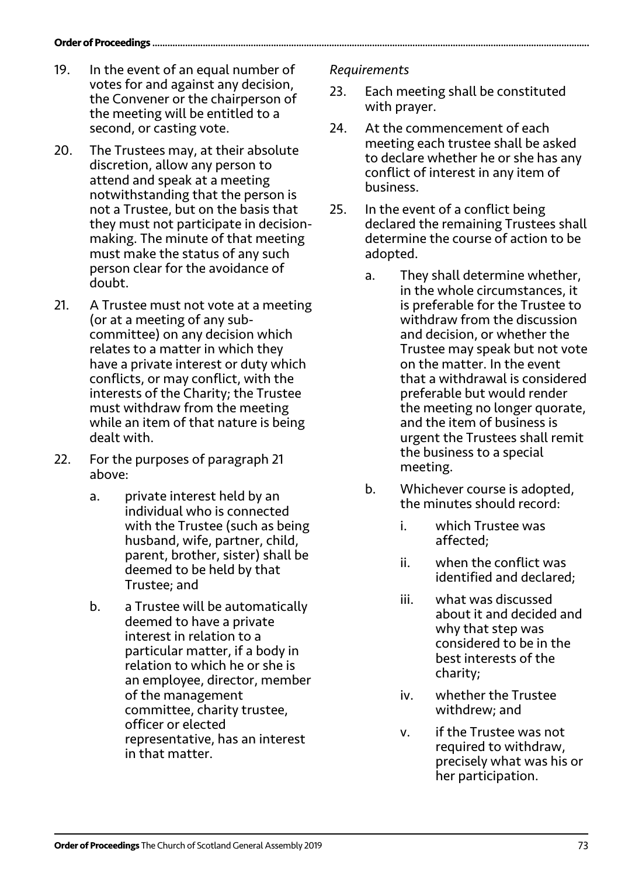#### **Order of Proceedings ........**

- 19. In the event of an equal number of votes for and against any decision, the Convener or the chairperson of the meeting will be entitled to a second, or casting vote.
- 20. The Trustees may, at their absolute discretion, allow any person to attend and speak at a meeting notwithstanding that the person is not a Trustee, but on the basis that they must not participate in decisionmaking. The minute of that meeting must make the status of any such person clear for the avoidance of doubt.
- 21. A Trustee must not vote at a meeting (or at a meeting of any subcommittee) on any decision which relates to a matter in which they have a private interest or duty which conflicts, or may conflict, with the interests of the Charity; the Trustee must withdraw from the meeting while an item of that nature is being dealt with.
- 22. For the purposes of paragraph 21 above:
	- a. private interest held by an individual who is connected with the Trustee (such as being husband, wife, partner, child, parent, brother, sister) shall be deemed to be held by that Trustee; and
	- b. a Trustee will be automatically deemed to have a private interest in relation to a particular matter, if a body in relation to which he or she is an employee, director, member of the management committee, charity trustee, officer or elected representative, has an interest in that matter.

#### *Requirements*

- 23. Each meeting shall be constituted with prayer.
- 24. At the commencement of each meeting each trustee shall be asked to declare whether he or she has any conflict of interest in any item of business.
- 25. In the event of a conflict being declared the remaining Trustees shall determine the course of action to be adopted.
	- a. They shall determine whether, in the whole circumstances, it is preferable for the Trustee to withdraw from the discussion and decision, or whether the Trustee may speak but not vote on the matter. In the event that a withdrawal is considered preferable but would render the meeting no longer quorate, and the item of business is urgent the Trustees shall remit the business to a special meeting.
	- b. Whichever course is adopted, the minutes should record:
		- i. which Trustee was affected;
		- ii. when the conflict was identified and declared;
		- iii. what was discussed about it and decided and why that step was considered to be in the best interests of the charity;
		- iv. whether the Trustee withdrew; and
		- v. if the Trustee was not required to withdraw, precisely what was his or her participation.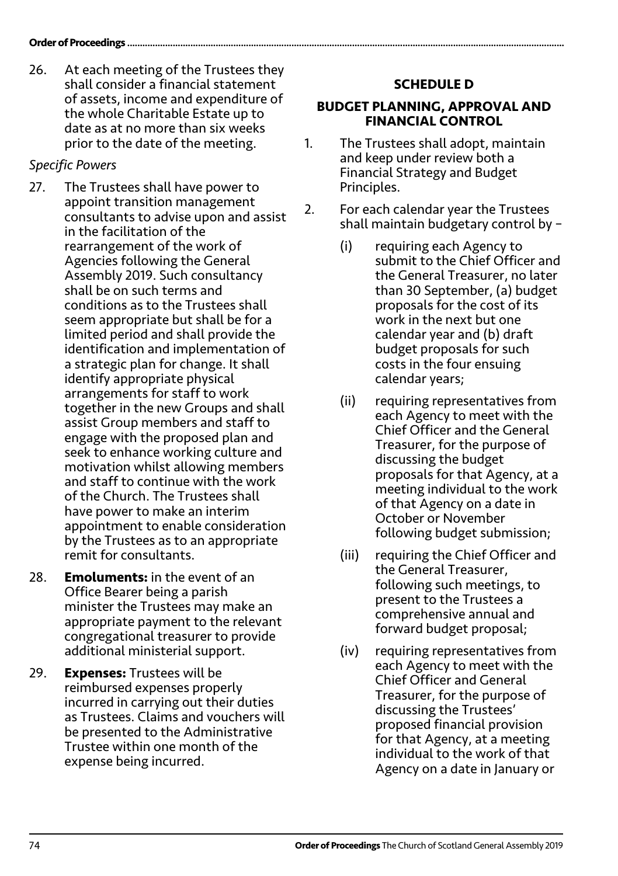26. At each meeting of the Trustees they shall consider a financial statement of assets, income and expenditure of the whole Charitable Estate up to date as at no more than six weeks prior to the date of the meeting.

### *Specific Powers*

- 27. The Trustees shall have power to appoint transition management consultants to advise upon and assist in the facilitation of the rearrangement of the work of Agencies following the General Assembly 2019. Such consultancy shall be on such terms and conditions as to the Trustees shall seem appropriate but shall be for a limited period and shall provide the identification and implementation of a strategic plan for change. It shall identify appropriate physical arrangements for staff to work together in the new Groups and shall assist Group members and staff to engage with the proposed plan and seek to enhance working culture and motivation whilst allowing members and staff to continue with the work of the Church. The Trustees shall have power to make an interim appointment to enable consideration by the Trustees as to an appropriate remit for consultants.
- 28. **Emoluments:** in the event of an Office Bearer being a parish minister the Trustees may make an appropriate payment to the relevant congregational treasurer to provide additional ministerial support.
- 29. **Expenses:** Trustees will be reimbursed expenses properly incurred in carrying out their duties as Trustees. Claims and vouchers will be presented to the Administrative Trustee within one month of the expense being incurred.

## **SCHEDULE D**

#### **BUDGET PLANNING, APPROVAL AND FINANCIAL CONTROL**

- 1. The Trustees shall adopt, maintain and keep under review both a Financial Strategy and Budget Principles.
- 2. For each calendar year the Trustees shall maintain budgetary control by –
	- (i) requiring each Agency to submit to the Chief Officer and the General Treasurer, no later than 30 September, (a) budget proposals for the cost of its work in the next but one calendar year and (b) draft budget proposals for such costs in the four ensuing calendar years;
	- (ii) requiring representatives from each Agency to meet with the Chief Officer and the General Treasurer, for the purpose of discussing the budget proposals for that Agency, at a meeting individual to the work of that Agency on a date in October or November following budget submission;
	- (iii) requiring the Chief Officer and the General Treasurer, following such meetings, to present to the Trustees a comprehensive annual and forward budget proposal;
	- (iv) requiring representatives from each Agency to meet with the Chief Officer and General Treasurer, for the purpose of discussing the Trustees' proposed financial provision for that Agency, at a meeting individual to the work of that Agency on a date in January or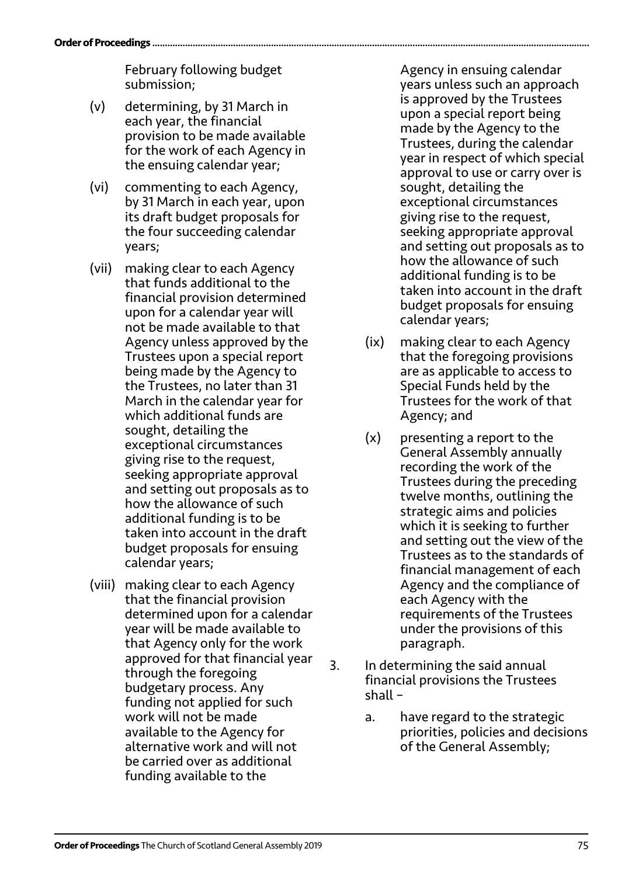February following budget submission;

- (v) determining, by 31 March in each year, the financial provision to be made available for the work of each Agency in the ensuing calendar year;
- (vi) commenting to each Agency, by 31 March in each year, upon its draft budget proposals for the four succeeding calendar years;
- (vii) making clear to each Agency that funds additional to the financial provision determined upon for a calendar year will not be made available to that Agency unless approved by the Trustees upon a special report being made by the Agency to the Trustees, no later than 31 March in the calendar year for which additional funds are sought, detailing the exceptional circumstances giving rise to the request, seeking appropriate approval and setting out proposals as to how the allowance of such additional funding is to be taken into account in the draft budget proposals for ensuing calendar years;
- (viii) making clear to each Agency that the financial provision determined upon for a calendar year will be made available to that Agency only for the work approved for that financial year through the foregoing budgetary process. Any funding not applied for such work will not be made available to the Agency for alternative work and will not be carried over as additional funding available to the

Agency in ensuing calendar years unless such an approach is approved by the Trustees upon a special report being made by the Agency to the Trustees, during the calendar year in respect of which special approval to use or carry over is sought, detailing the exceptional circumstances giving rise to the request, seeking appropriate approval and setting out proposals as to how the allowance of such additional funding is to be taken into account in the draft budget proposals for ensuing calendar years;

- (ix) making clear to each Agency that the foregoing provisions are as applicable to access to Special Funds held by the Trustees for the work of that Agency; and
- (x) presenting a report to the General Assembly annually recording the work of the Trustees during the preceding twelve months, outlining the strategic aims and policies which it is seeking to further and setting out the view of the Trustees as to the standards of financial management of each Agency and the compliance of each Agency with the requirements of the Trustees under the provisions of this paragraph.
- 3. In determining the said annual financial provisions the Trustees shall –
	- a. have regard to the strategic priorities, policies and decisions of the General Assembly;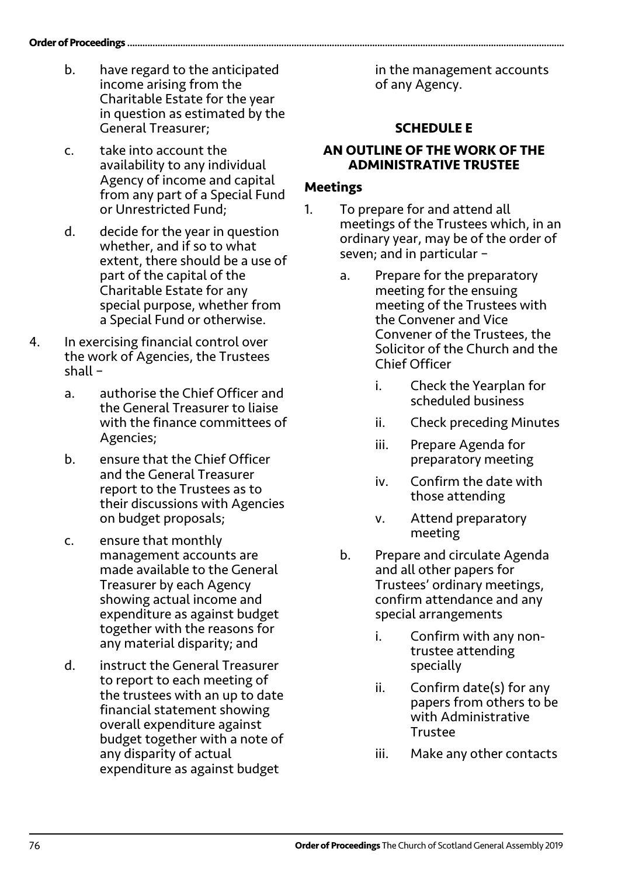- b. have regard to the anticipated income arising from the Charitable Estate for the year in question as estimated by the General Treasurer;
- c. take into account the availability to any individual Agency of income and capital from any part of a Special Fund or Unrestricted Fund;
- d. decide for the year in question whether, and if so to what extent, there should be a use of part of the capital of the Charitable Estate for any special purpose, whether from a Special Fund or otherwise.
- 4. In exercising financial control over the work of Agencies, the Trustees shall –
	- a. authorise the Chief Officer and the General Treasurer to liaise with the finance committees of Agencies;
	- b. ensure that the Chief Officer and the General Treasurer report to the Trustees as to their discussions with Agencies on budget proposals;
	- c. ensure that monthly management accounts are made available to the General Treasurer by each Agency showing actual income and expenditure as against budget together with the reasons for any material disparity; and
	- d. instruct the General Treasurer to report to each meeting of the trustees with an up to date financial statement showing overall expenditure against budget together with a note of any disparity of actual expenditure as against budget

in the management accounts of any Agency.

## **SCHEDULE E**

#### **AN OUTLINE OF THE WORK OF THE ADMINISTRATIVE TRUSTEE**

### **Meetings**

- 1. To prepare for and attend all meetings of the Trustees which, in an ordinary year, may be of the order of seven; and in particular –
	- a. Prepare for the preparatory meeting for the ensuing meeting of the Trustees with the Convener and Vice Convener of the Trustees, the Solicitor of the Church and the Chief Officer
		- i. Check the Yearplan for scheduled business
		- ii. Check preceding Minutes
		- iii. Prepare Agenda for preparatory meeting
		- iv. Confirm the date with those attending
		- v. Attend preparatory meeting
	- b. Prepare and circulate Agenda and all other papers for Trustees' ordinary meetings, confirm attendance and any special arrangements
		- i. Confirm with any nontrustee attending specially
		- ii. Confirm date(s) for any papers from others to be with Administrative Trustee
		- iii. Make any other contacts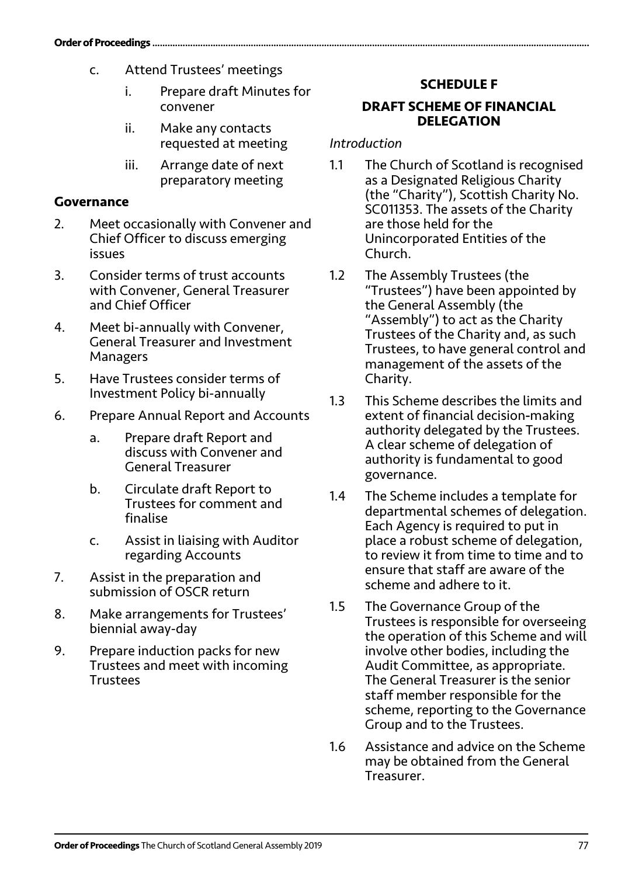- c. Attend Trustees' meetings
	- i. Prepare draft Minutes for convener
	- ii. Make any contacts requested at meeting
	- iii. Arrange date of next preparatory meeting

### **Governance**

- 2. Meet occasionally with Convener and Chief Officer to discuss emerging issues
- 3. Consider terms of trust accounts with Convener, General Treasurer and Chief Officer
- 4. Meet bi-annually with Convener, General Treasurer and Investment Managers
- 5. Have Trustees consider terms of Investment Policy bi-annually
- 6. Prepare Annual Report and Accounts
	- a. Prepare draft Report and discuss with Convener and General Treasurer
	- b. Circulate draft Report to Trustees for comment and finalise
	- c. Assist in liaising with Auditor regarding Accounts
- 7. Assist in the preparation and submission of OSCR return
- 8. Make arrangements for Trustees' biennial away-day
- 9. Prepare induction packs for new Trustees and meet with incoming Trustees

## **SCHEDULE F**

#### **DRAFT SCHEME OF FINANCIAL DELEGATION**

#### *Introduction*

- 1.1 The Church of Scotland is recognised as a Designated Religious Charity (the "Charity"), Scottish Charity No. SC011353. The assets of the Charity are those held for the Unincorporated Entities of the Church.
- 1.2 The Assembly Trustees (the "Trustees") have been appointed by the General Assembly (the "Assembly") to act as the Charity Trustees of the Charity and, as such Trustees, to have general control and management of the assets of the Charity.
- 1.3 This Scheme describes the limits and extent of financial decision‐making authority delegated by the Trustees. A clear scheme of delegation of authority is fundamental to good governance.
- 1.4 The Scheme includes a template for departmental schemes of delegation. Each Agency is required to put in place a robust scheme of delegation, to review it from time to time and to ensure that staff are aware of the scheme and adhere to it.
- 1.5 The Governance Group of the Trustees is responsible for overseeing the operation of this Scheme and will involve other bodies, including the Audit Committee, as appropriate. The General Treasurer is the senior staff member responsible for the scheme, reporting to the Governance Group and to the Trustees.
- 1.6 Assistance and advice on the Scheme may be obtained from the General Treasurer.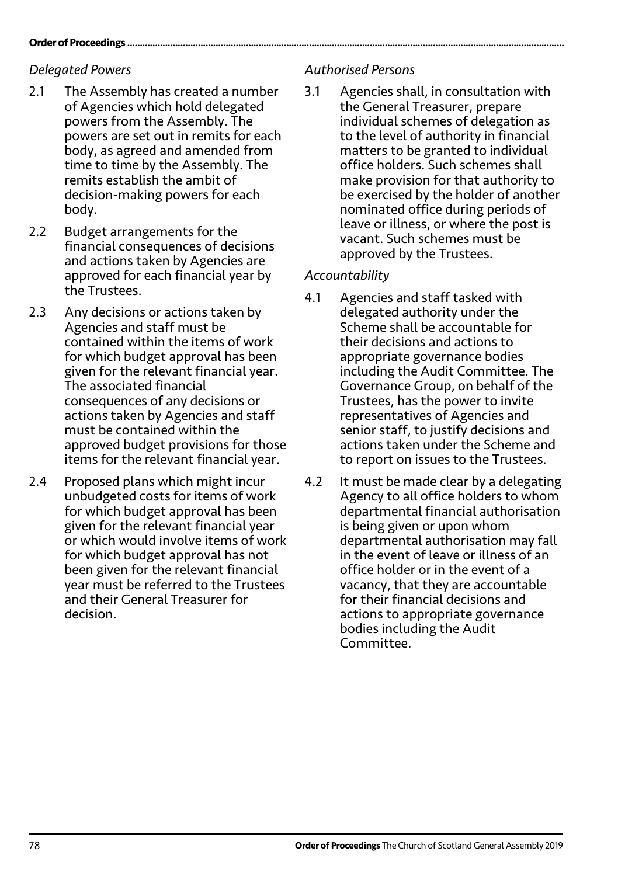#### **Order of Proceedings**

### *Delegated Powers*

- 2.1 The Assembly has created a number of Agencies which hold delegated powers from the Assembly. The powers are set out in remits for each body, as agreed and amended from time to time by the Assembly. The remits establish the ambit of decision-making powers for each body.
- 2.2 Budget arrangements for the financial consequences of decisions and actions taken by Agencies are approved for each financial year by the Trustees.
- 2.3 Any decisions or actions taken by Agencies and staff must be contained within the items of work for which budget approval has been given for the relevant financial year. The associated financial consequences of any decisions or actions taken by Agencies and staff must be contained within the approved budget provisions for those items for the relevant financial year.
- 2.4 Proposed plans which might incur unbudgeted costs for items of work for which budget approval has been given for the relevant financial year or which would involve items of work for which budget approval has not been given for the relevant financial year must be referred to the Trustees and their General Treasurer for decision.

### *Authorised Persons*

3.1 Agencies shall, in consultation with the General Treasurer, prepare individual schemes of delegation as to the level of authority in financial matters to be granted to individual office holders. Such schemes shall make provision for that authority to be exercised by the holder of another nominated office during periods of leave or illness, or where the post is vacant. Such schemes must be approved by the Trustees.

### *Accountability*

- 4.1 Agencies and staff tasked with delegated authority under the Scheme shall be accountable for their decisions and actions to appropriate governance bodies including the Audit Committee. The Governance Group, on behalf of the Trustees, has the power to invite representatives of Agencies and senior staff, to justify decisions and actions taken under the Scheme and to report on issues to the Trustees.
- 4.2 It must be made clear by a delegating Agency to all office holders to whom departmental financial authorisation is being given or upon whom departmental authorisation may fall in the event of leave or illness of an office holder or in the event of a vacancy, that they are accountable for their financial decisions and actions to appropriate governance bodies including the Audit Committee.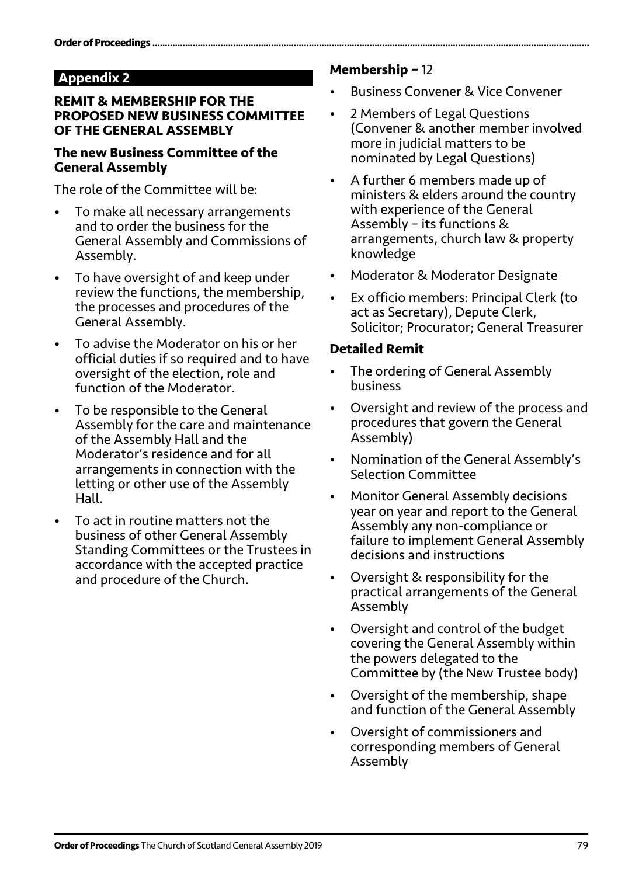### **Appendix 2**

#### **REMIT & MEMBERSHIP FOR THE PROPOSED NEW BUSINESS COMMITTEE OF THE GENERAL ASSEMBLY**

#### **The new Business Committee of the General Assembly**

The role of the Committee will be:

- To make all necessary arrangements and to order the business for the General Assembly and Commissions of Assembly.
- To have oversight of and keep under review the functions, the membership, the processes and procedures of the General Assembly.
- To advise the Moderator on his or her official duties if so required and to have oversight of the election, role and function of the Moderator.
- To be responsible to the General Assembly for the care and maintenance of the Assembly Hall and the Moderator's residence and for all arrangements in connection with the letting or other use of the Assembly Hall.
- To act in routine matters not the business of other General Assembly Standing Committees or the Trustees in accordance with the accepted practice and procedure of the Church.

#### **Membership –** 12

- Business Convener & Vice Convener
- 2 Members of Legal Questions (Convener & another member involved more in judicial matters to be nominated by Legal Questions)
- A further 6 members made up of ministers & elders around the country with experience of the General Assembly – its functions & arrangements, church law & property knowledge
- Moderator & Moderator Designate
- Ex officio members: Principal Clerk (to act as Secretary), Depute Clerk, Solicitor; Procurator; General Treasurer

#### **Detailed Remit**

- The ordering of General Assembly business
- Oversight and review of the process and procedures that govern the General Assembly)
- Nomination of the General Assembly's Selection Committee
- Monitor General Assembly decisions year on year and report to the General Assembly any non-compliance or failure to implement General Assembly decisions and instructions
- Oversight & responsibility for the practical arrangements of the General Assembly
- Oversight and control of the budget covering the General Assembly within the powers delegated to the Committee by (the New Trustee body)
- Oversight of the membership, shape and function of the General Assembly
- Oversight of commissioners and corresponding members of General Assembly